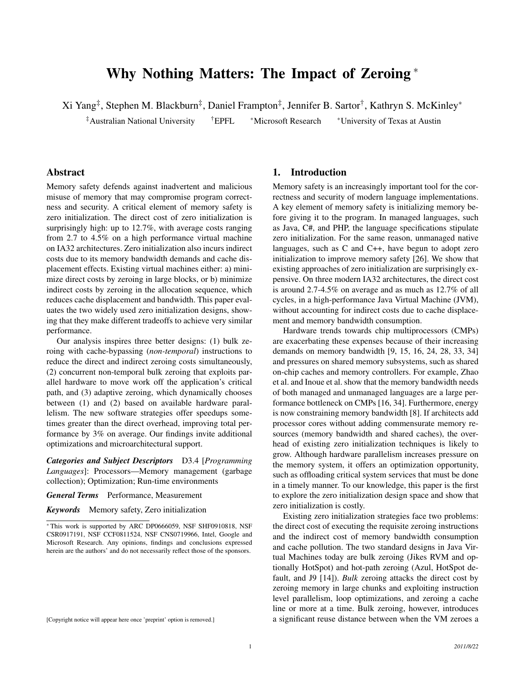# Why Nothing Matters: The Impact of Zeroing <sup>∗</sup>

Xi Yang<sup>‡</sup>, Stephen M. Blackburn<sup>‡</sup>, Daniel Frampton<sup>‡</sup>, Jennifer B. Sartor<sup>†</sup>, Kathryn S. McKinley\*

‡Australian National University †EPFL <sup>∗</sup>Microsoft Research <sup>∗</sup>University of Texas at Austin

# Abstract

Memory safety defends against inadvertent and malicious misuse of memory that may compromise program correctness and security. A critical element of memory safety is zero initialization. The direct cost of zero initialization is surprisingly high: up to 12.7%, with average costs ranging from 2.7 to 4.5% on a high performance virtual machine on IA32 architectures. Zero initialization also incurs indirect costs due to its memory bandwidth demands and cache displacement effects. Existing virtual machines either: a) minimize direct costs by zeroing in large blocks, or b) minimize indirect costs by zeroing in the allocation sequence, which reduces cache displacement and bandwidth. This paper evaluates the two widely used zero initialization designs, showing that they make different tradeoffs to achieve very similar performance.

Our analysis inspires three better designs: (1) bulk zeroing with cache-bypassing (*non-temporal*) instructions to reduce the direct and indirect zeroing costs simultaneously, (2) concurrent non-temporal bulk zeroing that exploits parallel hardware to move work off the application's critical path, and (3) adaptive zeroing, which dynamically chooses between (1) and (2) based on available hardware parallelism. The new software strategies offer speedups sometimes greater than the direct overhead, improving total performance by 3% on average. Our findings invite additional optimizations and microarchitectural support.

*Categories and Subject Descriptors* D3.4 [*Programming Languages*]: Processors—Memory management (garbage collection); Optimization; Run-time environments

*General Terms* Performance, Measurement

*Keywords* Memory safety, Zero initialization

#### 1. Introduction

Memory safety is an increasingly important tool for the correctness and security of modern language implementations. A key element of memory safety is initializing memory before giving it to the program. In managed languages, such as Java, C#, and PHP, the language specifications stipulate zero initialization. For the same reason, unmanaged native languages, such as C and C++, have begun to adopt zero initialization to improve memory safety [26]. We show that existing approaches of zero initialization are surprisingly expensive. On three modern IA32 architectures, the direct cost is around 2.7-4.5% on average and as much as 12.7% of all cycles, in a high-performance Java Virtual Machine (JVM), without accounting for indirect costs due to cache displacement and memory bandwidth consumption.

Hardware trends towards chip multiprocessors (CMPs) are exacerbating these expenses because of their increasing demands on memory bandwidth [9, 15, 16, 24, 28, 33, 34] and pressures on shared memory subsystems, such as shared on-chip caches and memory controllers. For example, Zhao et al. and Inoue et al. show that the memory bandwidth needs of both managed and unmanaged languages are a large performance bottleneck on CMPs [16, 34]. Furthermore, energy is now constraining memory bandwidth [8]. If architects add processor cores without adding commensurate memory resources (memory bandwidth and shared caches), the overhead of existing zero initialization techniques is likely to grow. Although hardware parallelism increases pressure on the memory system, it offers an optimization opportunity, such as offloading critical system services that must be done in a timely manner. To our knowledge, this paper is the first to explore the zero initialization design space and show that zero initialization is costly.

Existing zero initialization strategies face two problems: the direct cost of executing the requisite zeroing instructions and the indirect cost of memory bandwidth consumption and cache pollution. The two standard designs in Java Virtual Machines today are bulk zeroing (Jikes RVM and optionally HotSpot) and hot-path zeroing (Azul, HotSpot default, and J9 [14]). *Bulk* zeroing attacks the direct cost by zeroing memory in large chunks and exploiting instruction level parallelism, loop optimizations, and zeroing a cache line or more at a time. Bulk zeroing, however, introduces a significant reuse distance between when the VM zeroes a

<sup>∗</sup> This work is supported by ARC DP0666059, NSF SHF0910818, NSF CSR0917191, NSF CCF0811524, NSF CNS0719966, Intel, Google and Microsoft Research. Any opinions, findings and conclusions expressed herein are the authors' and do not necessarily reflect those of the sponsors.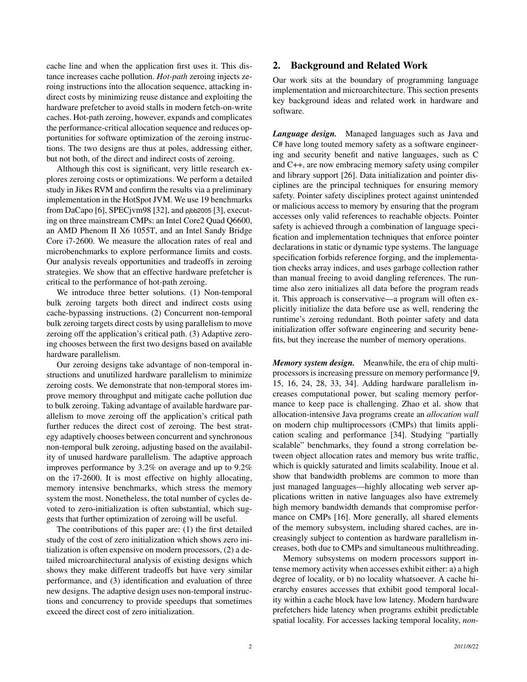cache line and when the application first uses it. This distance increases cache pollution. *Hot-path* zeroing injects zeroing instructions into the allocation sequence, attacking indirect costs by minimizing reuse distance and exploiting the hardware prefetcher to avoid stalls in modern fetch-on-write caches. Hot-path zeroing, however, expands and complicates the performance-critical allocation sequence and reduces opportunities for software optimization of the zeroing instructions. The two designs are thus at poles, addressing either, but not both, of the direct and indirect costs of zeroing.

Although this cost is significant, very little research explores zeroing costs or optimizations. We perform a detailed study in Jikes RVM and confirm the results via a preliminary implementation in the HotSpot JVM. We use 19 benchmarks from DaCapo [6], SPECjvm98 [32], and pjbb2005 [3], executing on three mainstream CMPs: an Intel Core2 Quad Q6600, an AMD Phenom II X6 1055T, and an Intel Sandy Bridge Core i7-2600. We measure the allocation rates of real and microbenchmarks to explore performance limits and costs. Our analysis reveals opportunities and tradeoffs in zeroing strategies. We show that an effective hardware prefetcher is critical to the performance of hot-path zeroing.

We introduce three better solutions. (1) Non-temporal bulk zeroing targets both direct and indirect costs using cache-bypassing instructions. (2) Concurrent non-temporal bulk zeroing targets direct costs by using parallelism to move zeroing off the application's critical path. (3) Adaptive zeroing chooses between the first two designs based on available hardware parallelism.

Our zeroing designs take advantage of non-temporal instructions and unutilized hardware parallelism to minimize zeroing costs. We demonstrate that non-temporal stores improve memory throughput and mitigate cache pollution due to bulk zeroing. Taking advantage of available hardware parallelism to move zeroing off the application's critical path further reduces the direct cost of zeroing. The best strategy adaptively chooses between concurrent and synchronous non-temporal bulk zeroing, adjusting based on the availability of unused hardware parallelism. The adaptive approach improves performance by 3.2% on average and up to 9.2% on the i7-2600. It is most effective on highly allocating, memory intensive benchmarks, which stress the memory system the most. Nonetheless, the total number of cycles devoted to zero-initialization is often substantial, which suggests that further optimization of zeroing will be useful.

The contributions of this paper are: (1) the first detailed study of the cost of zero initialization which shows zero initialization is often expensive on modern processors, (2) a detailed microarchitectural analysis of existing designs which shows they make different tradeoffs but have very similar performance, and (3) identification and evaluation of three new designs. The adaptive design uses non-temporal instructions and concurrency to provide speedups that sometimes exceed the direct cost of zero initialization.

# 2. Background and Related Work

Our work sits at the boundary of programming language implementation and microarchitecture. This section presents key background ideas and related work in hardware and software.

*Language design.* Managed languages such as Java and C# have long touted memory safety as a software engineering and security benefit and native languages, such as C and C++, are now embracing memory safety using compiler and library support [26]. Data initialization and pointer disciplines are the principal techniques for ensuring memory safety. Pointer safety disciplines protect against unintended or malicious access to memory by ensuring that the program accesses only valid references to reachable objects. Pointer safety is achieved through a combination of language specification and implementation techniques that enforce pointer declarations in static or dynamic type systems. The language specification forbids reference forging, and the implementation checks array indices, and uses garbage collection rather than manual freeing to avoid dangling references. The runtime also zero initializes all data before the program reads it. This approach is conservative—a program will often explicitly initialize the data before use as well, rendering the runtime's zeroing redundant. Both pointer safety and data initialization offer software engineering and security benefits, but they increase the number of memory operations.

*Memory system design.* Meanwhile, the era of chip multiprocessors is increasing pressure on memory performance [9, 15, 16, 24, 28, 33, 34]. Adding hardware parallelism increases computational power, but scaling memory performance to keep pace is challenging. Zhao et al. show that allocation-intensive Java programs create an *allocation wall* on modern chip multiprocessors (CMPs) that limits application scaling and performance [34]. Studying "partially scalable" benchmarks, they found a strong correlation between object allocation rates and memory bus write traffic, which is quickly saturated and limits scalability. Inoue et al. show that bandwidth problems are common to more than just managed languages—highly allocating web server applications written in native languages also have extremely high memory bandwidth demands that compromise performance on CMPs [16]. More generally, all shared elements of the memory subsystem, including shared caches, are increasingly subject to contention as hardware parallelism increases, both due to CMPs and simultaneous multithreading.

Memory subsystems on modern processors support intense memory activity when accesses exhibit either: a) a high degree of locality, or b) no locality whatsoever. A cache hierarchy ensures accesses that exhibit good temporal locality within a cache block have low latency. Modern hardware prefetchers hide latency when programs exhibit predictable spatial locality. For accesses lacking temporal locality, *non-*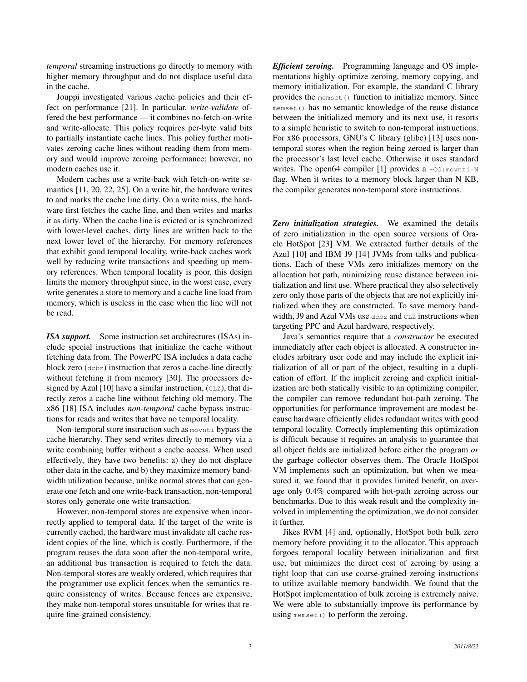*temporal* streaming instructions go directly to memory with higher memory throughput and do not displace useful data in the cache.

Jouppi investigated various cache policies and their effect on performance [21]. In particular, *write-validate* offered the best performance — it combines no-fetch-on-write and write-allocate. This policy requires per-byte valid bits to partially instantiate cache lines. This policy further motivates zeroing cache lines without reading them from memory and would improve zeroing performance; however, no modern caches use it.

Modern caches use a write-back with fetch-on-write semantics [11, 20, 22, 25]. On a write hit, the hardware writes to and marks the cache line dirty. On a write miss, the hardware first fetches the cache line, and then writes and marks it as dirty. When the cache line is evicted or is synchronized with lower-level caches, dirty lines are written back to the next lower level of the hierarchy. For memory references that exhibit good temporal locality, write-back caches work well by reducing write transactions and speeding up memory references. When temporal locality is poor, this design limits the memory throughput since, in the worst case, every write generates a store to memory and a cache line load from memory, which is useless in the case when the line will not be read.

*ISA support.* Some instruction set architectures (ISAs) include special instructions that initialize the cache without fetching data from. The PowerPC ISA includes a data cache block zero (dcbz) instruction that zeros a cache-line directly without fetching it from memory [30]. The processors designed by Azul [10] have a similar instruction,  $(CLZ)$ , that directly zeros a cache line without fetching old memory. The x86 [18] ISA includes *non-temporal* cache bypass instructions for reads and writes that have no temporal locality.

Non-temporal store instruction such as movnti bypass the cache hierarchy. They send writes directly to memory via a write combining buffer without a cache access. When used effectively, they have two benefits: a) they do not displace other data in the cache, and b) they maximize memory bandwidth utilization because, unlike normal stores that can generate one fetch and one write-back transaction, non-temporal stores only generate one write transaction.

However, non-temporal stores are expensive when incorrectly applied to temporal data. If the target of the write is currently cached, the hardware must invalidate all cache resident copies of the line, which is costly. Furthermore, if the program reuses the data soon after the non-temporal write, an additional bus transaction is required to fetch the data. Non-temporal stores are weakly ordered, which requires that the programmer use explicit fences when the semantics require consistency of writes. Because fences are expensive, they make non-temporal stores unsuitable for writes that require fine-grained consistency.

*Efficient zeroing.* Programming language and OS implementations highly optimize zeroing, memory copying, and memory initialization. For example, the standard C library provides the memset () function to initialize memory. Since memset() has no semantic knowledge of the reuse distance between the initialized memory and its next use, it resorts to a simple heuristic to switch to non-temporal instructions. For x86 processors, GNU's C library (glibc) [13] uses nontemporal stores when the region being zeroed is larger than the processor's last level cache. Otherwise it uses standard writes. The open64 compiler [1] provides a  $-cG:$  movnti=N flag. When it writes to a memory block larger than N KB, the compiler generates non-temporal store instructions.

*Zero initialization strategies.* We examined the details of zero initialization in the open source versions of Oracle HotSpot [23] VM. We extracted further details of the Azul [10] and IBM J9 [14] JVMs from talks and publications. Each of these VMs zero initializes memory on the allocation hot path, minimizing reuse distance between initialization and first use. Where practical they also selectively zero only those parts of the objects that are not explicitly initialized when they are constructed. To save memory bandwidth, J9 and Azul VMs use debz and CLZ instructions when targeting PPC and Azul hardware, respectively.

Java's semantics require that a *constructor* be executed immediately after each object is allocated. A constructor includes arbitrary user code and may include the explicit initialization of all or part of the object, resulting in a duplication of effort. If the implicit zeroing and explicit initialization are both statically visible to an optimizing compiler, the compiler can remove redundant hot-path zeroing. The opportunities for performance improvement are modest because hardware efficiently elides redundant writes with good temporal locality. Correctly implementing this optimization is difficult because it requires an analysis to guarantee that all object fields are initialized before either the program *or* the garbage collector observes them. The Oracle HotSpot VM implements such an optimization, but when we measured it, we found that it provides limited benefit, on average only 0.4% compared with hot-path zeroing across our benchmarks. Due to this weak result and the complexity involved in implementing the optimization, we do not consider it further.

Jikes RVM [4] and, optionally, HotSpot both bulk zero memory before providing it to the allocator. This approach forgoes temporal locality between initialization and first use, but minimizes the direct cost of zeroing by using a tight loop that can use coarse-grained zeroing instructions to utilize available memory bandwidth. We found that the HotSpot implementation of bulk zeroing is extremely naive. We were able to substantially improve its performance by using memset () to perform the zeroing.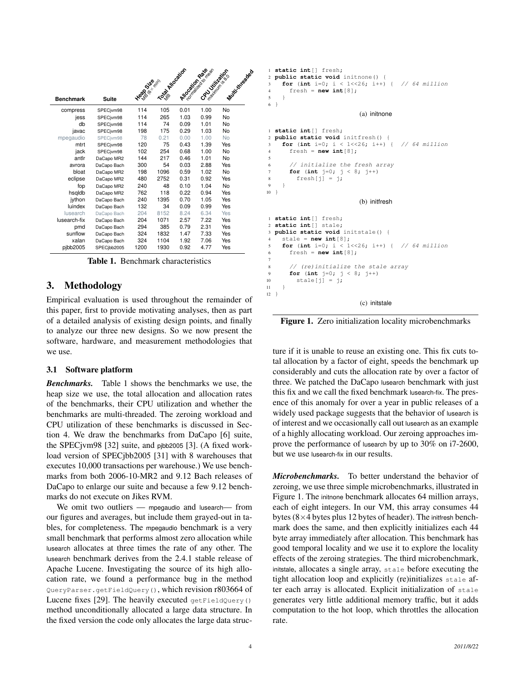| <b>Benchmark</b> | Suite       | <b>Head Street</b> | TO MIDOSITOS | Allocation Rate | Toonwall as do re ready<br><b>CAULTIMERS</b> | Multivitreaded |  |
|------------------|-------------|--------------------|--------------|-----------------|----------------------------------------------|----------------|--|
| compress         | SPECjvm98   | 114                | 105          | 0.01            | 1.00                                         | No             |  |
| jess             | SPECjvm98   | 114                | 265          | 1.03            | 0.99                                         | No             |  |
| db               | SPECjvm98   | 114                | 74           | 0.09            | 1.01                                         | No             |  |
| javac            | SPECjvm98   | 198                | 175          | 0.29            | 1.03                                         | No             |  |
| mpegaudio        | SPECivm98   | 78                 | 0.21         | 0.00            | 1.00                                         | No             |  |
| mtrt             | SPECjvm98   | 120                | 75           | 0.43            | 1.39                                         | Yes            |  |
| jack             | SPECjvm98   | 102                | 254          | 0.68            | 1.00                                         | No             |  |
| antlr            | DaCapo MR2  | 144                | 217          | 0.46            | 1.01                                         | No             |  |
| avrora           | DaCapo Bach | 300                | 54           | 0.03            | 2.88                                         | Yes            |  |
| bloat            | DaCapo MR2  | 198                | 1096         | 0.59            | 1.02                                         | No             |  |
| eclipse          | DaCapo MR2  | 480                | 2752         | 0.31            | 0.92                                         | Yes            |  |
| fop              | DaCapo MR2  | 240                | 48           | 0.10            | 1.04                                         | No             |  |
| hsqldb           | DaCapo MR2  | 762                | 118          | 0.22            | 0.94                                         | Yes            |  |
| iython           | DaCapo Bach | 240                | 1395         | 0.70            | 1.05                                         | Yes            |  |
| luindex          | DaCapo Bach | 132                | 34           | 0.09            | 0.99                                         | Yes            |  |
| lusearch         | DaCapo Bach | 204                | 8152         | 8.24            | 6.34                                         | Yes            |  |
| lusearch-fix     | DaCapo Bach | 204                | 1071         | 2.57            | 7.22                                         | Yes            |  |
| pmd              | DaCapo Bach | 294                | 385          | 0.79            | 2.31                                         | Yes            |  |
| sunflow          | DaCapo Bach | 324                | 1832         | 1.47            | 7.33                                         | Yes            |  |
| xalan            | DaCapo Bach | 324                | 1104         | 1.92            | 7.06                                         | Yes            |  |
| pjbb2005         | SPECibb2005 | 1200               | 1930         | 0.92            | 4.77                                         | Yes            |  |

Table 1. Benchmark characteristics

# 3. Methodology

Empirical evaluation is used throughout the remainder of this paper, first to provide motivating analyses, then as part of a detailed analysis of existing design points, and finally to analyze our three new designs. So we now present the software, hardware, and measurement methodologies that we use.

# 3.1 Software platform

*Benchmarks.* Table 1 shows the benchmarks we use, the heap size we use, the total allocation and allocation rates of the benchmarks, their CPU utilization and whether the benchmarks are multi-threaded. The zeroing workload and CPU utilization of these benchmarks is discussed in Section 4. We draw the benchmarks from DaCapo [6] suite, the SPECjvm98 [32] suite, and pjbb2005 [3]. (A fixed workload version of SPECjbb2005 [31] with 8 warehouses that executes 10,000 transactions per warehouse.) We use benchmarks from both 2006-10-MR2 and 9.12 Bach releases of DaCapo to enlarge our suite and because a few 9.12 benchmarks do not execute on Jikes RVM.

We omit two outliers — mpegaudio and lusearch— from our figures and averages, but include them grayed-out in tables, for completeness. The mpegaudio benchmark is a very small benchmark that performs almost zero allocation while lusearch allocates at three times the rate of any other. The lusearch benchmark derives from the 2.4.1 stable release of Apache Lucene. Investigating the source of its high allocation rate, we found a performance bug in the method QueryParser.getFieldQuery(), which revision r803664 of Lucene fixes [29]. The heavily executed  $q$ etFieldQuery() method unconditionally allocated a large data structure. In the fixed version the code only allocates the large data struc-

```
1 static int[] fresh;
2 public static void initnone() {
    for (int i=0; i < 1 << 26; i++) { // 64 million
4 fresh = new int[8];
5 }
6 }
                          (a) initnone
```

```
1 static int[] fresh;
2 public static void initfresh() {
    for (int i=0; i < 1<<26; i++) { // 64 million
      4 fresh = new int[8];
5
6 // initialize the fresh array
      7 for (int j=0; j < 8; j++)
8 fresh[j] = j;
9 }
10 }
                          (b) initfresh
1 static int[] fresh;
2 static int[] stale;
  3 public static void initstale() {
    stale = new int[8];
    for (int i=0; i < 1<<26; i++) { // 64 million
      fresh = new int[8];7
      8 // (re)initialize the stale array
9 for (int j=0; j < 8; j++)
10 \text{state}[j] = j;11 }
12 }
                          (c) initstale
```
Figure 1. Zero initialization locality microbenchmarks

ture if it is unable to reuse an existing one. This fix cuts total allocation by a factor of eight, speeds the benchmark up considerably and cuts the allocation rate by over a factor of three. We patched the DaCapo lusearch benchmark with just this fix and we call the fixed benchmark lusearch-fix. The presence of this anomaly for over a year in public releases of a widely used package suggests that the behavior of lusearch is of interest and we occasionally call out lusearch as an example of a highly allocating workload. Our zeroing approaches improve the performance of lusearch by up to 30% on i7-2600, but we use lusearch-fix in our results.

*Microbenchmarks.* To better understand the behavior of zeroing, we use three simple microbenchmarks, illustrated in Figure 1. The initnone benchmark allocates 64 million arrays, each of eight integers. In our VM, this array consumes 44 bytes ( $8\times4$  bytes plus 12 bytes of header). The initeresh benchmark does the same, and then explicitly initializes each 44 byte array immediately after allocation. This benchmark has good temporal locality and we use it to explore the locality effects of the zeroing strategies. The third microbenchmark, initstale, allocates a single array, stale before executing the tight allocation loop and explicitly (re)initializes stale after each array is allocated. Explicit initialization of stale generates very little additional memory traffic, but it adds computation to the hot loop, which throttles the allocation rate.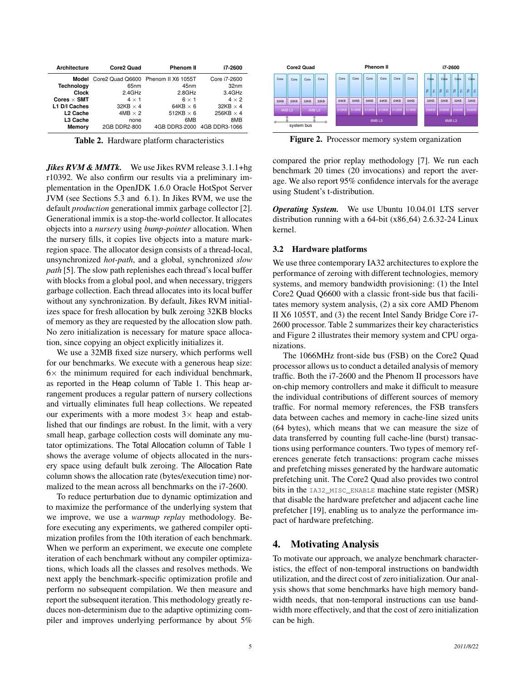| <b>Architecture</b>                          | Core2 Quad                                | <b>Phenom II</b>                                              | i7-2600                                   |
|----------------------------------------------|-------------------------------------------|---------------------------------------------------------------|-------------------------------------------|
| <b>Technology</b>                            | 65 <sub>nm</sub>                          | Model Core2 Quad Q6600 Phenom II X6 1055T<br>45 <sub>nm</sub> | Core i7-2600<br>32 <sub>nm</sub>          |
| Clock<br>Cores $\times$ SMT<br>L1 D/I Caches | 2.4GHz<br>$4 \times 1$<br>$32KB \times 4$ | 2.8GHz<br>$6 \times 1$<br>64KB $\times$ 6                     | 3.4GHz<br>$4 \times 2$<br>$32KB \times 4$ |
| L <sub>2</sub> Cache<br>L3 Cache             | $4MB \times 2$<br>none                    | 512KB $\times$ 6<br>6MB                                       | 256KB $\times$ 4<br>8MB                   |
| Memory                                       | 2GB DDR2-800                              | 4GB DDR3-2000 4GB DDR3-1066                                   |                                           |

Table 2. Hardware platform characteristics

*Jikes RVM & MMTk.* We use Jikes RVM release 3.1.1+hg r10392. We also confirm our results via a preliminary implementation in the OpenJDK 1.6.0 Oracle HotSpot Server JVM (see Sections 5.3 and 6.1). In Jikes RVM, we use the default *production* generational immix garbage collector [2]. Generational immix is a stop-the-world collector. It allocates objects into a *nursery* using *bump-pointer* allocation. When the nursery fills, it copies live objects into a mature markregion space. The allocator design consists of a thread-local, unsynchronized *hot-path*, and a global, synchronized *slow path* [5]. The slow path replenishes each thread's local buffer with blocks from a global pool, and when necessary, triggers garbage collection. Each thread allocates into its local buffer without any synchronization. By default, Jikes RVM initializes space for fresh allocation by bulk zeroing 32KB blocks of memory as they are requested by the allocation slow path. No zero initialization is necessary for mature space allocation, since copying an object explicitly initializes it.

We use a 32MB fixed size nursery, which performs well for our benchmarks. We execute with a generous heap size:  $6\times$  the minimum required for each individual benchmark, as reported in the Heap column of Table 1. This heap arrangement produces a regular pattern of nursery collections and virtually eliminates full heap collections. We repeated our experiments with a more modest  $3 \times$  heap and established that our findings are robust. In the limit, with a very small heap, garbage collection costs will dominate any mutator optimizations. The Total Allocation column of Table 1 shows the average volume of objects allocated in the nursery space using default bulk zeroing. The Allocation Rate column shows the allocation rate (bytes/execution time) normalized to the mean across all benchmarks on the i7-2600.

To reduce perturbation due to dynamic optimization and to maximize the performance of the underlying system that we improve, we use a *warmup replay* methodology. Before executing any experiments, we gathered compiler optimization profiles from the 10th iteration of each benchmark. When we perform an experiment, we execute one complete iteration of each benchmark without any compiler optimizations, which loads all the classes and resolves methods. We next apply the benchmark-specific optimization profile and perform no subsequent compilation. We then measure and report the subsequent iteration. This methodology greatly reduces non-determinism due to the adaptive optimizing compiler and improves underlying performance by about 5%



Figure 2. Processor memory system organization

compared the prior replay methodology [7]. We run each benchmark 20 times (20 invocations) and report the average. We also report 95% confidence intervals for the average using Student's t-distribution.

*Operating System.* We use Ubuntu 10.04.01 LTS server distribution running with a  $64$ -bit (x $86$ - $64$ ) 2.6.32-24 Linux kernel.

#### 3.2 Hardware platforms

We use three contemporary IA32 architectures to explore the performance of zeroing with different technologies, memory systems, and memory bandwidth provisioning: (1) the Intel Core2 Quad Q6600 with a classic front-side bus that facilitates memory system analysis, (2) a six core AMD Phenom II X6 1055T, and (3) the recent Intel Sandy Bridge Core i7- 2600 processor. Table 2 summarizes their key characteristics and Figure 2 illustrates their memory system and CPU organizations.

The 1066MHz front-side bus (FSB) on the Core2 Quad processor allows us to conduct a detailed analysis of memory traffic. Both the i7-2600 and the Phenom II processors have on-chip memory controllers and make it difficult to measure the individual contributions of different sources of memory traffic. For normal memory references, the FSB transfers data between caches and memory in cache-line sized units (64 bytes), which means that we can measure the size of data transferred by counting full cache-line (burst) transactions using performance counters. Two types of memory references generate fetch transactions: program cache misses and prefetching misses generated by the hardware automatic prefetching unit. The Core2 Quad also provides two control bits in the IA32\_MISC\_ENABLE machine state register (MSR) that disable the hardware prefetcher and adjacent cache line prefetcher [19], enabling us to analyze the performance impact of hardware prefetching.

#### 4. Motivating Analysis

To motivate our approach, we analyze benchmark characteristics, the effect of non-temporal instructions on bandwidth utilization, and the direct cost of zero initialization. Our analysis shows that some benchmarks have high memory bandwidth needs, that non-temporal instructions can use bandwidth more effectively, and that the cost of zero initialization can be high.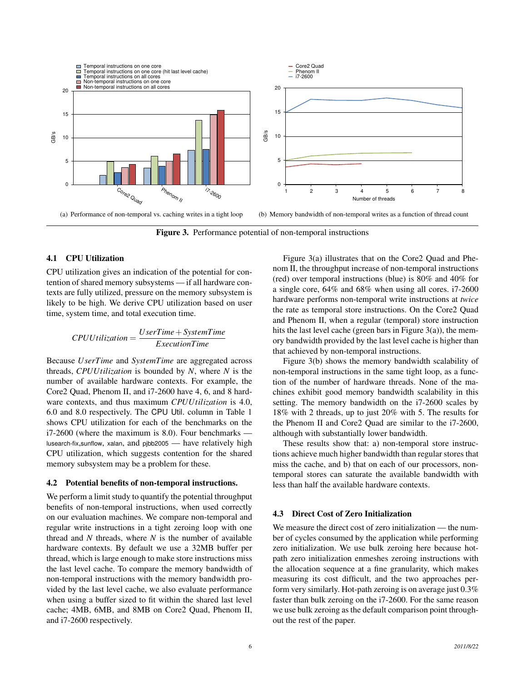

Figure 3. Performance potential of non-temporal instructions

## 4.1 CPU Utilization

CPU utilization gives an indication of the potential for contention of shared memory subsystems — if all hardware contexts are fully utilized, pressure on the memory subsystem is likely to be high. We derive CPU utilization based on user time, system time, and total execution time.

$$
CPUUtilization = \frac{UserTime + SystemTime}{ExecutionTime}
$$

Because *UserTime* and *SystemTime* are aggregated across threads, *CPUUtilization* is bounded by *N*, where *N* is the number of available hardware contexts. For example, the Core2 Quad, Phenom II, and i7-2600 have 4, 6, and 8 hardware contexts, and thus maximum *CPUUtilization* is 4.0, 6.0 and 8.0 respectively. The CPU Util. column in Table 1 shows CPU utilization for each of the benchmarks on the i7-2600 (where the maximum is 8.0). Four benchmarks lusearch-fix,sunflow, xalan, and pjbb2005 — have relatively high CPU utilization, which suggests contention for the shared memory subsystem may be a problem for these.

#### 4.2 Potential benefits of non-temporal instructions.

We perform a limit study to quantify the potential throughput benefits of non-temporal instructions, when used correctly on our evaluation machines. We compare non-temporal and regular write instructions in a tight zeroing loop with one thread and *N* threads, where *N* is the number of available hardware contexts. By default we use a 32MB buffer per thread, which is large enough to make store instructions miss the last level cache. To compare the memory bandwidth of non-temporal instructions with the memory bandwidth provided by the last level cache, we also evaluate performance when using a buffer sized to fit within the shared last level cache; 4MB, 6MB, and 8MB on Core2 Quad, Phenom II, and i7-2600 respectively.

Figure 3(a) illustrates that on the Core2 Quad and Phenom II, the throughput increase of non-temporal instructions (red) over temporal instructions (blue) is 80% and 40% for a single core, 64% and 68% when using all cores. i7-2600 hardware performs non-temporal write instructions at *twice* the rate as temporal store instructions. On the Core2 Quad and Phenom II, when a regular (temporal) store instruction hits the last level cache (green bars in Figure 3(a)), the memory bandwidth provided by the last level cache is higher than that achieved by non-temporal instructions.

Figure 3(b) shows the memory bandwidth scalability of non-temporal instructions in the same tight loop, as a function of the number of hardware threads. None of the machines exhibit good memory bandwidth scalability in this setting. The memory bandwidth on the i7-2600 scales by 18% with 2 threads, up to just 20% with 5. The results for the Phenom II and Core2 Quad are similar to the i7-2600, although with substantially lower bandwidth.

These results show that: a) non-temporal store instructions achieve much higher bandwidth than regular stores that miss the cache, and b) that on each of our processors, nontemporal stores can saturate the available bandwidth with less than half the available hardware contexts.

#### 4.3 Direct Cost of Zero Initialization

We measure the direct cost of zero initialization — the number of cycles consumed by the application while performing zero initialization. We use bulk zeroing here because hotpath zero initialization enmeshes zeroing instructions with the allocation sequence at a fine granularity, which makes measuring its cost difficult, and the two approaches perform very similarly. Hot-path zeroing is on average just 0.3% faster than bulk zeroing on the i7-2600. For the same reason we use bulk zeroing as the default comparison point throughout the rest of the paper.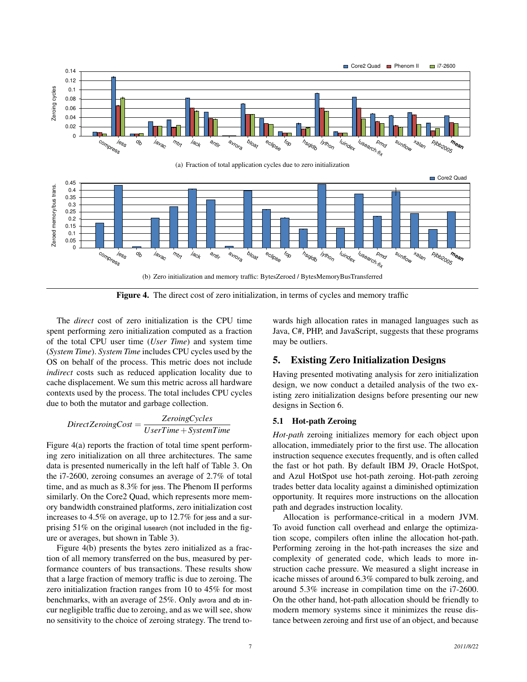

Figure 4. The direct cost of zero initialization, in terms of cycles and memory traffic

The *direct* cost of zero initialization is the CPU time spent performing zero initialization computed as a fraction of the total CPU user time (*User Time*) and system time (*System Time*). *System Time* includes CPU cycles used by the OS on behalf of the process. This metric does not include *indirect* costs such as reduced application locality due to cache displacement. We sum this metric across all hardware contexts used by the process. The total includes CPU cycles due to both the mutator and garbage collection.

$$
Direct ZeroingCost = \frac{ZeroingCycles}{UserTime + SystemTime}
$$

Figure 4(a) reports the fraction of total time spent performing zero initialization on all three architectures. The same data is presented numerically in the left half of Table 3. On the i7-2600, zeroing consumes an average of 2.7% of total time, and as much as 8.3% for jess. The Phenom II performs similarly. On the Core2 Quad, which represents more memory bandwidth constrained platforms, zero initialization cost increases to 4.5% on average, up to 12.7% for jess and a surprising 51% on the original lusearch (not included in the figure or averages, but shown in Table 3).

Figure 4(b) presents the bytes zero initialized as a fraction of all memory transferred on the bus, measured by performance counters of bus transactions. These results show that a large fraction of memory traffic is due to zeroing. The zero initialization fraction ranges from 10 to 45% for most benchmarks, with an average of 25%. Only avrora and db incur negligible traffic due to zeroing, and as we will see, show no sensitivity to the choice of zeroing strategy. The trend to-

wards high allocation rates in managed languages such as Java, C#, PHP, and JavaScript, suggests that these programs may be outliers.

# 5. Existing Zero Initialization Designs

Having presented motivating analysis for zero initialization design, we now conduct a detailed analysis of the two existing zero initialization designs before presenting our new designs in Section 6.

#### 5.1 Hot-path Zeroing

*Hot-path* zeroing initializes memory for each object upon allocation, immediately prior to the first use. The allocation instruction sequence executes frequently, and is often called the fast or hot path. By default IBM J9, Oracle HotSpot, and Azul HotSpot use hot-path zeroing. Hot-path zeroing trades better data locality against a diminished optimization opportunity. It requires more instructions on the allocation path and degrades instruction locality.

Allocation is performance-critical in a modern JVM. To avoid function call overhead and enlarge the optimization scope, compilers often inline the allocation hot-path. Performing zeroing in the hot-path increases the size and complexity of generated code, which leads to more instruction cache pressure. We measured a slight increase in icache misses of around 6.3% compared to bulk zeroing, and around 5.3% increase in compilation time on the i7-2600. On the other hand, hot-path allocation should be friendly to modern memory systems since it minimizes the reuse distance between zeroing and first use of an object, and because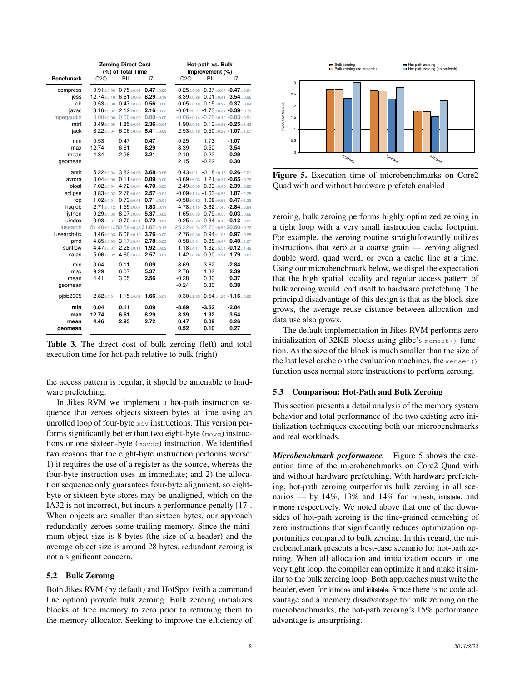|                                                                                                                                  |                                                                                                                      | <b>Zeroing Direct Cost</b><br>(%) of Total Time                                                                                                                                                                                                                                                                                                                                                          |                                                                                                                                          | Hot-path vs. Bulk<br>Improvement (%)   |                                                                                                                                                                                                                                                                                               |                                                                                                                                                                                                                                                                                                            |  |  |
|----------------------------------------------------------------------------------------------------------------------------------|----------------------------------------------------------------------------------------------------------------------|----------------------------------------------------------------------------------------------------------------------------------------------------------------------------------------------------------------------------------------------------------------------------------------------------------------------------------------------------------------------------------------------------------|------------------------------------------------------------------------------------------------------------------------------------------|----------------------------------------|-----------------------------------------------------------------------------------------------------------------------------------------------------------------------------------------------------------------------------------------------------------------------------------------------|------------------------------------------------------------------------------------------------------------------------------------------------------------------------------------------------------------------------------------------------------------------------------------------------------------|--|--|
| <b>Benchmark</b>                                                                                                                 | C2Q                                                                                                                  | PII                                                                                                                                                                                                                                                                                                                                                                                                      | i7                                                                                                                                       | C2Q                                    | PII                                                                                                                                                                                                                                                                                           | i7                                                                                                                                                                                                                                                                                                         |  |  |
| compress<br>jess<br>db<br>javac<br>mpegaudio<br>mtrt<br>jack                                                                     | $8.22 \pm 0.04$                                                                                                      | $0.91 + 0.00$ $0.75 + 0.01$<br>$12.74 \pm 0.18$ 6.61 $\pm$ 0.09<br>$0.53 \pm 0.00$ $0.47 \pm 0.00$<br>$3.16 \pm 0.02$ $2.12 \pm 0.02$<br>$0.00 \pm 0.00$ $0.00 \pm 0.00$ $0.00 \pm 0.00$<br>$3.49 \pm 0.05$ 1.85 $\pm$ 0.03<br>$6.06 + 0.09$                                                                                                                                                             | $0.47 + 0.00$<br>$8.29 + 0.19$<br>$0.56 + 0.00$<br>$2.16 + 0.02$<br>$2.36 + 0.04$<br>$5.41 \pm 0.09$                                     |                                        | $-0.25 + 0.08 - 0.37 + 0.07 - 0.47 + 0.61$<br>$-0.01 \pm 0.27 -1.73 \pm 0.34 -0.39 \pm 0.79$<br>$-0.06 \pm 0.14 -0.76 \pm 0.10 -0.03 \pm 0.91$<br>$2.53 \pm 0.18$ 0.50 $\pm$ 0.22 -1.07 $\pm$ 1.07                                                                                            | 8.39 $\pm$ 0.26 0.01 $\pm$ 0.41 3.54 $\pm$ 0.96<br>$0.05 \pm 0.18$ 0.15 $\pm$ 0.29 0.37 $\pm$ 0.84<br>1.90 $\pm$ 0.88 0.13 $\pm$ 0.85 -0.25 $\pm$ 1.42                                                                                                                                                     |  |  |
| min<br>max<br>mean<br>geomean                                                                                                    | 0.53<br>12.74<br>4.84                                                                                                | 0.47<br>6.61<br>2.98                                                                                                                                                                                                                                                                                                                                                                                     | 0.47<br>8.29<br>3.21                                                                                                                     | $-0.25$<br>8.39<br>2.10<br>2.15        | $-1.73$<br>0.50<br>$-0.22$<br>$-0.22$                                                                                                                                                                                                                                                         | $-1.07$<br>3.54<br>0.29<br>0.30                                                                                                                                                                                                                                                                            |  |  |
| antlr<br>avrora<br>bloat<br>eclipse<br>fop<br>hsgldb<br>iython<br>luindex<br>lusearch<br>lusearch-fix<br>pmd<br>sunflow<br>xalan | $1.02 + 0.01$<br>$2.71 \pm 0.12$<br>$9.29 \pm 0.03$<br>$0.93 + 0.01$<br>$51.40 \pm 0.1450.59 \pm 0.4331.67 \pm 0.13$ | $5.22 \pm 0.04$ 3.82 $\pm$ 0.05 3.68 $\pm$ 0.06<br>$0.04 \pm 0.00$ $0.11 \pm 0.00$<br>$7.02 \pm 0.04$ 4.72 $\pm 0.04$<br>$3.83 \pm 0.02$ 2.76 $\pm 0.02$<br>$0.73 + 0.01$<br>$1.55 + 0.07$<br>$6.07 \pm 0.05$<br>$0.70 + 0.01$<br>8.46±0.03 6.06±0.10 3.76±0.02<br>4.85 $\pm$ 0.03 3.17 $\pm$ 0.04 2.78 $\pm$ 0.03<br>4.47 $\pm$ 0.07 2.28 $\pm$ 0.11 1.92 $\pm$ 0.02<br>$5.06 \pm 0.02$ 4.60 $\pm$ 0.03 | $0.09 + 0.00$<br>4.70 ± 0.05<br>$2.57 \pm 0.01$<br>$0.71 + 0.01$<br>$1.83 + 0.11$<br>$5.37 \pm 0.03$<br>$0.72 + 0.01$<br>$2.57 \pm 0.01$ | $25.22 + 0.2427.73 + 0.5220.50 + 0.72$ | $0.43 \pm 0.11 - 0.18 \pm 0.13$ $0.26 \pm 2.01$<br>$-4.78 \pm 1.15 -3.62 \pm 1.45 -2.84 \pm 3.84$<br>1.65 $\pm$ 0.35 0.79 $\pm$ 0.56 0.03 $\pm$ 0.66<br>$0.25 \pm 0.76$ $0.34 \pm 0.18$ -0.13 $\pm 0.81$<br>1.18 $\pm$ 4.17 1.32 $\pm$ 5.54 -0.12 $\pm$ 1.49<br>1.42±0.26 0.90±3.21 1.79±0.67 | $-8.69 + 5.03$ 1.21 + 0.37 $-0.65 + 0.79$<br>$2.49 \pm 0.39$ 0.93 $\pm 0.45$ 2.39 $\pm 0.90$<br>$-0.09 \pm 1.14 - 1.03 \pm 6.58$ 1.87 $\pm$ 2.25<br>$-0.58 \pm 0.62$ 1.08 $\pm$ 0.53 0.47 $\pm$ 1.33<br>$2.76 \pm 0.30$ 0.94 $\pm$ 1.08 0.97 $\pm$ 0.95<br>$0.58 \pm 0.31$ $0.88 \pm 0.47$ $0.40 \pm 1.07$ |  |  |
| min<br>max<br>mean<br>geomean                                                                                                    | 0.04<br>9.29<br>4.41                                                                                                 | 0.11<br>6.07<br>3.05                                                                                                                                                                                                                                                                                                                                                                                     | 0.09<br>5.37<br>2.56                                                                                                                     | $-8.69$<br>2.76<br>$-0.28$<br>$-0.24$  | $-3.62$<br>1.32<br>0.30<br>0.30                                                                                                                                                                                                                                                               | $-2.84$<br>2.39<br>0.37<br>0.38                                                                                                                                                                                                                                                                            |  |  |
| pibb2005                                                                                                                         | $2.82 + 0.01$                                                                                                        | $1.15 \pm 0.02$ 1.66 $\pm 0.01$                                                                                                                                                                                                                                                                                                                                                                          |                                                                                                                                          |                                        |                                                                                                                                                                                                                                                                                               | $-0.30 \pm 2.85 -0.54 \pm 1.28 -1.16 \pm 0.60$                                                                                                                                                                                                                                                             |  |  |
| min<br>max<br>mean<br>qeomean                                                                                                    | 0.04<br>12.74<br>4.46                                                                                                | 0.11<br>6.61<br>2.93                                                                                                                                                                                                                                                                                                                                                                                     | 0.09<br>8.29<br>2.72                                                                                                                     | $-8.69$<br>8.39<br>0.47<br>0.52        | $-3.62$<br>1.32<br>0.09<br>0.10                                                                                                                                                                                                                                                               | $-2.84$<br>3.54<br>0.26<br>0.27                                                                                                                                                                                                                                                                            |  |  |

Table 3. The direct cost of bulk zeroing (left) and total execution time for hot-path relative to bulk (right)

the access pattern is regular, it should be amenable to hardware prefetching.

In Jikes RVM we implement a hot-path instruction sequence that zeroes objects sixteen bytes at time using an unrolled loop of four-byte mov instructions. This version performs significantly better than two eight-byte (movq) instructions or one sixteen-byte (movdq) instruction. We identified two reasons that the eight-byte instruction performs worse: 1) it requires the use of a register as the source, whereas the four-byte instruction uses an immediate; and 2) the allocation sequence only guarantees four-byte alignment, so eightbyte or sixteen-byte stores may be unaligned, which on the IA32 is not incorrect, but incurs a performance penalty [17]. When objects are smaller than sixteen bytes, our approach redundantly zeroes some trailing memory. Since the minimum object size is 8 bytes (the size of a header) and the average object size is around 28 bytes, redundant zeroing is not a significant concern.

#### 5.2 Bulk Zeroing

Both Jikes RVM (by default) and HotSpot (with a command line option) provide bulk zeroing. Bulk zeroing initializes blocks of free memory to zero prior to returning them to the memory allocator. Seeking to improve the efficiency of



Figure 5. Execution time of microbenchmarks on Core2 Quad with and without hardware prefetch enabled

zeroing, bulk zeroing performs highly optimized zeroing in a tight loop with a very small instruction cache footprint. For example, the zeroing routine straightforwardly utilizes instructions that zero at a coarse grain — zeroing aligned double word, quad word, or even a cache line at a time. Using our microbenchmark below, we dispel the expectation that the high spatial locality and regular access pattern of bulk zeroing would lend itself to hardware prefetching. The principal disadvantage of this design is that as the block size grows, the average reuse distance between allocation and data use also grows.

The default implementation in Jikes RVM performs zero initialization of  $32KB$  blocks using glibc's memset() function. As the size of the block is much smaller than the size of the last level cache on the evaluation machines, the memset() function uses normal store instructions to perform zeroing.

#### 5.3 Comparison: Hot-Path and Bulk Zeroing

This section presents a detail analysis of the memory system behavior and total performance of the two existing zero initialization techniques executing both our microbenchmarks and real workloads.

*Microbenchmark performance.* Figure 5 shows the execution time of the microbenchmarks on Core2 Quad with and without hardware prefetching. With hardware prefetching, hot-path zeroing outperforms bulk zeroing in all scenarios — by 14%, 13% and 14% for initfresh, initstale, and initnone respectively. We noted above that one of the downsides of hot-path zeroing is the fine-grained enmeshing of zero instructions that significantly reduces optimization opportunities compared to bulk zeroing. In this regard, the microbenchmark presents a best-case scenario for hot-path zeroing. When all allocation and initialization occurs in one very tight loop, the compiler can optimize it and make it similar to the bulk zeroing loop. Both approaches must write the header, even for initnone and initstale. Since there is no code advantage and a memory disadvantage for bulk zeroing on the microbenchmarks, the hot-path zeroing's 15% performance advantage is unsurprising.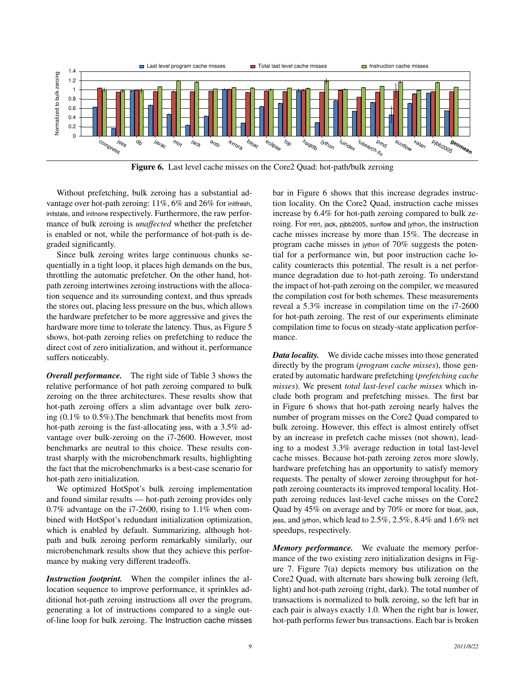

Figure 6. Last level cache misses on the Core2 Quad: hot-path/bulk zeroing

Without prefetching, bulk zeroing has a substantial advantage over hot-path zeroing: 11%, 6% and 26% for initiesh, initstale, and initnone respectively. Furthermore, the raw performance of bulk zeroing is *unaffected* whether the prefetcher is enabled or not, while the performance of hot-path is degraded significantly.

Since bulk zeroing writes large continuous chunks sequentially in a tight loop, it places high demands on the bus, throttling the automatic prefetcher. On the other hand, hotpath zeroing intertwines zeroing instructions with the allocation sequence and its surrounding context, and thus spreads the stores out, placing less pressure on the bus, which allows the hardware prefetcher to be more aggressive and gives the hardware more time to tolerate the latency. Thus, as Figure 5 shows, hot-path zeroing relies on prefetching to reduce the direct cost of zero initialization, and without it, performance suffers noticeably.

*Overall performance.* The right side of Table 3 shows the relative performance of hot path zeroing compared to bulk zeroing on the three architectures. These results show that hot-path zeroing offers a slim advantage over bulk zeroing (0.1% to 0.5%).The benchmark that benefits most from hot-path zeroing is the fast-allocating jess, with a 3.5% advantage over bulk-zeroing on the i7-2600. However, most benchmarks are neutral to this choice. These results contrast sharply with the microbenchmark results, highlighting the fact that the microbenchmarks is a best-case scenario for hot-path zero initialization.

We optimized HotSpot's bulk zeroing implementation and found similar results — hot-path zeroing provides only 0.7% advantage on the i7-2600, rising to 1.1% when combined with HotSpot's redundant initialization optimization, which is enabled by default. Summarizing, although hotpath and bulk zeroing perform remarkably similarly, our microbenchmark results show that they achieve this performance by making very different tradeoffs.

*Instruction footprint.* When the compiler inlines the allocation sequence to improve performance, it sprinkles additional hot-path zeroing instructions all over the program, generating a lot of instructions compared to a single outof-line loop for bulk zeroing. The Instruction cache misses bar in Figure 6 shows that this increase degrades instruction locality. On the Core2 Quad, instruction cache misses increase by 6.4% for hot-path zeroing compared to bulk zeroing. For mtrt, jack, pjbb2005, sunflow and jython, the instruction cache misses increase by more than 15%. The decrease in program cache misses in jython of 70% suggests the potential for a performance win, but poor instruction cache locality counteracts this potential. The result is a net performance degradation due to hot-path zeroing. To understand the impact of hot-path zeroing on the compiler, we measured the compilation cost for both schemes. These measurements reveal a 5.3% increase in compilation time on the i7-2600 for hot-path zeroing. The rest of our experiments eliminate compilation time to focus on steady-state application performance.

*Data locality.* We divide cache misses into those generated directly by the program (*program cache misses*), those generated by automatic hardware prefetching (*prefetching cache misses*). We present *total last-level cache misses* which include both program and prefetching misses. The first bar in Figure 6 shows that hot-path zeroing nearly halves the number of program misses on the Core2 Quad compared to bulk zeroing. However, this effect is almost entirely offset by an increase in prefetch cache misses (not shown), leading to a modest 3.3% average reduction in total last-level cache misses. Because hot-path zeroing zeros more slowly, hardware prefetching has an opportunity to satisfy memory requests. The penalty of slower zeroing throughput for hotpath zeroing counteracts its improved temporal locality. Hotpath zeroing reduces last-level cache misses on the Core2 Quad by 45% on average and by 70% or more for bloat, jack, jess, and jython, which lead to 2.5%, 2.5%, 8.4% and 1.6% net speedups, respectively.

*Memory performance.* We evaluate the memory performance of the two existing zero initialization designs in Figure 7. Figure 7(a) depicts memory bus utilization on the Core2 Quad, with alternate bars showing bulk zeroing (left, light) and hot-path zeroing (right, dark). The total number of transactions is normalized to bulk zeroing, so the left bar in each pair is always exactly 1.0. When the right bar is lower, hot-path performs fewer bus transactions. Each bar is broken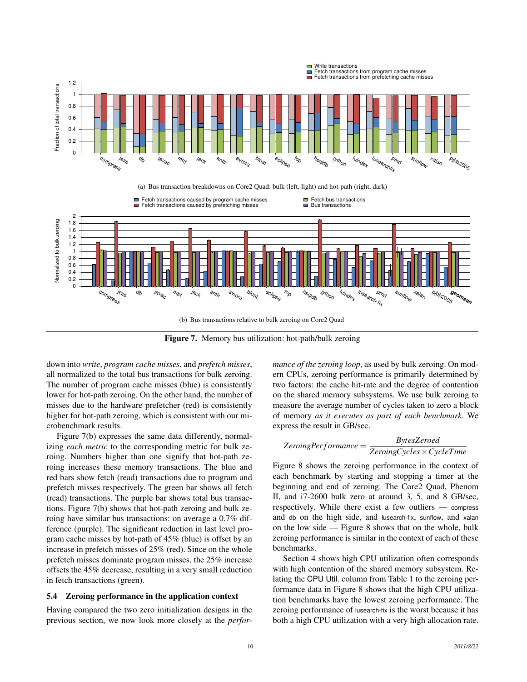

Figure 7. Memory bus utilization: hot-path/bulk zeroing

down into *write*, *program cache misses*, and *prefetch misses*, all normalized to the total bus transactions for bulk zeroing. The number of program cache misses (blue) is consistently lower for hot-path zeroing. On the other hand, the number of misses due to the hardware prefetcher (red) is consistently higher for hot-path zeroing, which is consistent with our microbenchmark results.

Figure 7(b) expresses the same data differently, normalizing *each metric* to the corresponding metric for bulk zeroing. Numbers higher than one signify that hot-path zeroing increases these memory transactions. The blue and red bars show fetch (read) transactions due to program and prefetch misses respectively. The green bar shows all fetch (read) transactions. The purple bar shows total bus transactions. Figure 7(b) shows that hot-path zeroing and bulk zeroing have similar bus transactions: on average a 0.7% difference (purple). The significant reduction in last level program cache misses by hot-path of 45% (blue) is offset by an increase in prefetch misses of 25% (red). Since on the whole prefetch misses dominate program misses, the 25% increase offsets the 45% decrease, resulting in a very small reduction in fetch transactions (green).

#### 5.4 Zeroing performance in the application context

Having compared the two zero initialization designs in the previous section, we now look more closely at the *perfor-* *mance of the zeroing loop*, as used by bulk zeroing. On modern CPUs, zeroing performance is primarily determined by two factors: the cache hit-rate and the degree of contention on the shared memory subsystems. We use bulk zeroing to measure the average number of cycles taken to zero a block of memory *as it executes as part of each benchmark*. We express the result in GB/sec.

$$
ZeroingPerformance = \frac{BytesZeroed}{ZeroingCycles \times CycleTime}
$$

Figure 8 shows the zeroing performance in the context of each benchmark by starting and stopping a timer at the beginning and end of zeroing. The Core2 Quad, Phenom II, and i7-2600 bulk zero at around 3, 5, and 8 GB/sec, respectively. While there exist a few outliers — compress and db on the high side, and lusearch-fix, sunflow, and xalan on the low side — Figure 8 shows that on the whole, bulk zeroing performance is similar in the context of each of these benchmarks.

Section 4 shows high CPU utilization often corresponds with high contention of the shared memory subsystem. Relating the CPU Util. column from Table 1 to the zeroing performance data in Figure 8 shows that the high CPU utilization benchmarks have the lowest zeroing performance. The zeroing performance of lusearch-fix is the worst because it has both a high CPU utilization with a very high allocation rate.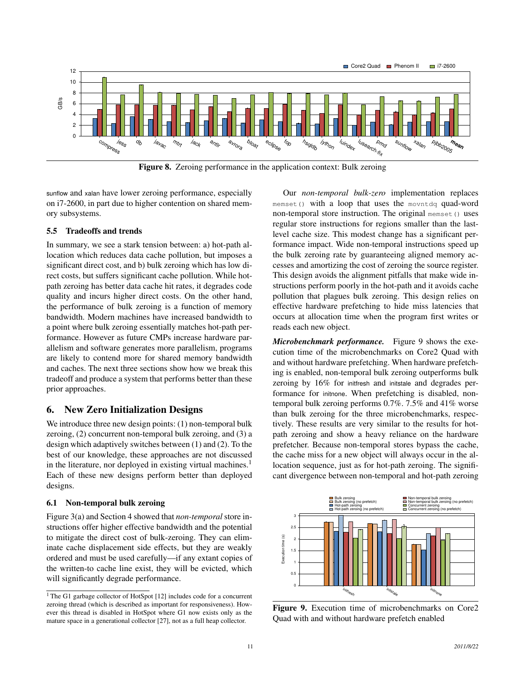

**Figure 8.** Zeroing performance in the application context: Bulk zeroing

sunflow and xalan have lower zeroing performance, especially on i7-2600, in part due to higher contention on shared memory subsystems.

### 5.5 Tradeoffs and trends

In summary, we see a stark tension between: a) hot-path allocation which reduces data cache pollution, but imposes a significant direct cost, and b) bulk zeroing which has low direct costs, but suffers significant cache pollution. While hotpath zeroing has better data cache hit rates, it degrades code quality and incurs higher direct costs. On the other hand, the performance of bulk zeroing is a function of memory bandwidth. Modern machines have increased bandwidth to a point where bulk zeroing essentially matches hot-path performance. However as future CMPs increase hardware parallelism and software generates more parallelism, programs are likely to contend more for shared memory bandwidth and caches. The next three sections show how we break this tradeoff and produce a system that performs better than these prior approaches.

# 6. New Zero Initialization Designs

We introduce three new design points: (1) non-temporal bulk zeroing, (2) concurrent non-temporal bulk zeroing, and (3) a design which adaptively switches between (1) and (2). To the best of our knowledge, these approaches are not discussed in the literature, nor deployed in existing virtual machines.<sup>1</sup> Each of these new designs perform better than deployed designs.

# 6.1 Non-temporal bulk zeroing

Figure 3(a) and Section 4 showed that *non-temporal* store instructions offer higher effective bandwidth and the potential to mitigate the direct cost of bulk-zeroing. They can eliminate cache displacement side effects, but they are weakly ordered and must be used carefully—if any extant copies of the written-to cache line exist, they will be evicted, which will significantly degrade performance.

Our *non-temporal bulk-zero* implementation replaces memset() with a loop that uses the movntdq quad-word non-temporal store instruction. The original memset() uses regular store instructions for regions smaller than the lastlevel cache size. This modest change has a significant performance impact. Wide non-temporal instructions speed up the bulk zeroing rate by guaranteeing aligned memory accesses and amortizing the cost of zeroing the source register. This design avoids the alignment pitfalls that make wide instructions perform poorly in the hot-path and it avoids cache pollution that plagues bulk zeroing. This design relies on effective hardware prefetching to hide miss latencies that occurs at allocation time when the program first writes or reads each new object.

*Microbenchmark performance.* Figure 9 shows the execution time of the microbenchmarks on Core2 Quad with and without hardware prefetching. When hardware prefetching is enabled, non-temporal bulk zeroing outperforms bulk zeroing by 16% for initfresh and initstale and degrades performance for initnone. When prefetching is disabled, nontemporal bulk zeroing performs 0.7%. 7.5% and 41% worse than bulk zeroing for the three microbenchmarks, respectively. These results are very similar to the results for hotpath zeroing and show a heavy reliance on the hardware prefetcher. Because non-temporal stores bypass the cache, the cache miss for a new object will always occur in the allocation sequence, just as for hot-path zeroing. The significant divergence between non-temporal and hot-path zeroing



Figure 9. Execution time of microbenchmarks on Core2 Quad with and without hardware prefetch enabled

<sup>&</sup>lt;sup>1</sup> The G1 garbage collector of HotSpot [12] includes code for a concurrent zeroing thread (which is described as important for responsiveness). However this thread is disabled in HotSpot where G1 now exists only as the mature space in a generational collector [27], not as a full heap collector.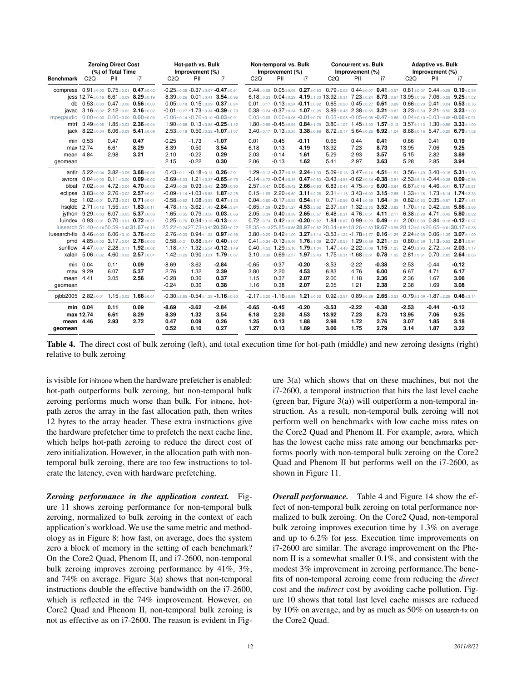|                                                                                                                       | <b>Zeroing Direct Cost</b><br>(%) of Total Time |                                                                                                                                                                                                                                                                                                                                                                                                                                                                                                                                                                                                                                       | Hot-path vs. Bulk<br>Improvement (%) |                                       |                                       | Non-temporal vs. Bulk<br>Improvement (%)                                                                                                                                                                                                                                                                                                                                                                                                                                                                                                                                                                                                          |                                 | <b>Concurrent vs. Bulk</b><br>Improvement (%) |                                 |                                                                                                                                                                                                                                                                                                                                                                                                                                                                                                                                                                                                                                                                                                                                                                                                                                                                                                                                                                                                                                                                                                                                                                                                                                                                                                                                                                                                                                                                                                                                                                                                                                                                                                                                                          | <b>Adaptive vs. Bulk</b><br>Improvement (%) |                                 |                                  |                                 |                                 |
|-----------------------------------------------------------------------------------------------------------------------|-------------------------------------------------|---------------------------------------------------------------------------------------------------------------------------------------------------------------------------------------------------------------------------------------------------------------------------------------------------------------------------------------------------------------------------------------------------------------------------------------------------------------------------------------------------------------------------------------------------------------------------------------------------------------------------------------|--------------------------------------|---------------------------------------|---------------------------------------|---------------------------------------------------------------------------------------------------------------------------------------------------------------------------------------------------------------------------------------------------------------------------------------------------------------------------------------------------------------------------------------------------------------------------------------------------------------------------------------------------------------------------------------------------------------------------------------------------------------------------------------------------|---------------------------------|-----------------------------------------------|---------------------------------|----------------------------------------------------------------------------------------------------------------------------------------------------------------------------------------------------------------------------------------------------------------------------------------------------------------------------------------------------------------------------------------------------------------------------------------------------------------------------------------------------------------------------------------------------------------------------------------------------------------------------------------------------------------------------------------------------------------------------------------------------------------------------------------------------------------------------------------------------------------------------------------------------------------------------------------------------------------------------------------------------------------------------------------------------------------------------------------------------------------------------------------------------------------------------------------------------------------------------------------------------------------------------------------------------------------------------------------------------------------------------------------------------------------------------------------------------------------------------------------------------------------------------------------------------------------------------------------------------------------------------------------------------------------------------------------------------------------------------------------------------------|---------------------------------------------|---------------------------------|----------------------------------|---------------------------------|---------------------------------|
| Benchmark                                                                                                             | C2Q                                             | PII                                                                                                                                                                                                                                                                                                                                                                                                                                                                                                                                                                                                                                   | i7                                   | C2Q                                   | PII                                   | i7                                                                                                                                                                                                                                                                                                                                                                                                                                                                                                                                                                                                                                                | C <sub>2</sub> Q                | PII                                           | i7                              | C2Q                                                                                                                                                                                                                                                                                                                                                                                                                                                                                                                                                                                                                                                                                                                                                                                                                                                                                                                                                                                                                                                                                                                                                                                                                                                                                                                                                                                                                                                                                                                                                                                                                                                                                                                                                      | PII                                         | i7                              | C2Q                              | PII                             | i7                              |
| compress $0.91 \pm 0.00$ $0.75 \pm 0.01$ $0.47 \pm 0.00$<br>mpegaudio $0.00 \pm 0.00$ $0.00 \pm 0.00$ $0.00 \pm 0.00$ |                                                 | jess 12.74±0.18 6.61±0.09 8.29±0.19<br>db $0.53 \pm 0.00$ $0.47 \pm 0.00$ $0.56 \pm 0.00$<br>javac 3.16±0.02 2.12±0.02 2.16±0.02<br>mtrt 3.49 $\pm$ 0.05 1.85 $\pm$ 0.03 2.36 $\pm$ 0.04<br>jack 8.22 $\pm$ 0.04 6.06 $\pm$ 0.09 5.41 $\pm$ 0.09                                                                                                                                                                                                                                                                                                                                                                                      |                                      |                                       |                                       | $-0.25 \pm 0.08 -0.37 \pm 0.07 -0.47 \pm 0.61$<br>8.39 $\pm$ 0.26 0.01 $\pm$ 0.41 3.54 $\pm$ 0.96<br>$0.05 \pm 0.18$ 0.15 $\pm$ 0.29 0.37 $\pm$ 0.84<br>$-0.01 \pm 0.27 - 1.73 \pm 0.34 - 0.39 \pm 0.79$<br>$-0.06 \pm 0.14 -0.76 \pm 0.10 -0.03 \pm 0.91$<br>1.90+0.88 $0.13 + 0.85 - 0.25 + 1.42$<br>$2.53 \pm 0.18$ 0.50 $\pm$ 0.22 -1.07 $\pm$ 1.07                                                                                                                                                                                                                                                                                           |                                 |                                               |                                 | 0.44 $\pm$ 0.08 0.05 $\pm$ 0.08 0.27 $\pm$ 0.60 0.79 $\pm$ 0.08 0.44 $\pm$ 0.07 0.41 $\pm$ 0.57 0.81 $\pm$ 0.07 0.44 $\pm$ 0.08 0.19 $\pm$ 0.59<br>6.18 $\pm$ 0.33 -0.04 $\pm$ 0.29 4.19 $\pm$ 1.00 13.92 $\pm$ 0.31 7.23 $\pm$ 0.24 8.73 $\pm$ 0.97 13.95 $\pm$ 0.36 7.06 $\pm$ 0.29 9.25 $\pm$ 1.02<br>$0.01\pm0.17$ -0.13 $\pm$ 0.24 -0.11 $\pm$ 0.82 0.65 $\pm$ 0.20 0.45 $\pm$ 0.27 0.61 $\pm$ 0.89 0.66 $\pm$ 0.20 0.41 $\pm$ 0.24 0.53 $\pm$ 0.76<br>$0.38\pm0.24$ -0.37 $\pm$ 0.34 1.07 $\pm$ 0.95 3.89 $\pm$ 0.48 2.38 $\pm$ 0.65 3.21 $\pm$ 0.87 3.23 $\pm$ 0.50 2.21 $\pm$ 0.50 3.23 $\pm$ 1.00<br>$0.03\pm0.09$ $0.00\pm0.06$ $-0.01\pm0.76$ $0.03\pm0.08$ $-0.05\pm0.08$ $-0.47\pm0.86$ $0.04\pm0.10$ $-0.03\pm0.06$ $-0.68\pm0.91$<br>1.80 $\pm$ 0.96 -0.45 $\pm$ 0.94 0.84 $\pm$ 1.09 3.80 $\pm$ 1.07 1.45 $\pm$ 1.00 1.57 $\pm$ 2.13 3.57 $\pm$ 1.13 1.30 $\pm$ 0.96 3.33 $\pm$ 1.00<br>$3.40\pm0.17$ $0.13\pm0.35$ $3.38\pm0.98$ $8.72\pm0.17$ $5.64\pm0.26$ $6.92\pm1.04$ $8.68\pm0.16$ $5.47\pm0.20$ $6.79\pm1.02$                                                                                                                                                                                                                                                                                                                                                                                                                                                                                                                                                                                                                                                                                                                    |                                             |                                 |                                  |                                 |                                 |
| mean 4.84<br>geomean                                                                                                  | min 0.53<br>max 12.74                           | 0.47<br>6.61<br>2.98                                                                                                                                                                                                                                                                                                                                                                                                                                                                                                                                                                                                                  | 0.47<br>8.29<br>3.21                 | $-0.25$<br>8.39<br>2.10<br>2.15       | $-1.73$<br>0.50<br>$-0.22$<br>$-0.22$ | $-1.07$<br>3.54<br>0.29<br>0.30                                                                                                                                                                                                                                                                                                                                                                                                                                                                                                                                                                                                                   | 0.01<br>6.18<br>2.03<br>2.06    | $-0.45$<br>0.13<br>$-0.14$<br>$-0.13$         | $-0.11$<br>4.19<br>1.61<br>1.62 | 0.65<br>13.92<br>5.29<br>5.41                                                                                                                                                                                                                                                                                                                                                                                                                                                                                                                                                                                                                                                                                                                                                                                                                                                                                                                                                                                                                                                                                                                                                                                                                                                                                                                                                                                                                                                                                                                                                                                                                                                                                                                            | 0.44<br>7.23<br>2.93<br>2.97                | 0.41<br>8.73<br>3.57<br>3.63    | 0.66<br>13.95<br>5.15<br>5.28    | 0.41<br>7.06<br>2.82<br>2.85    | 0.19<br>9.25<br>3.89<br>3.94    |
| lusearch-fix $8.46 + 0.03$ $6.06 + 0.10$ $3.76 + 0.02$                                                                |                                                 | antlr $5.22 \pm 0.04$ 3.82 $\pm 0.05$ 3.68 $\pm 0.06$<br>avrora 0.04±0.00 0.11±0.00 0.09±0.00<br>bloat 7.02 $\pm$ 0.04 4.72 $\pm$ 0.04 4.70 $\pm$ 0.05<br>eclipse 3.83±0.02 2.76±0.02 2.57±0.01<br>fop $1.02 \pm 0.01$ 0.73 $\pm 0.01$ 0.71 $\pm 0.01$<br>hsaldb $2.71 \pm 0.12$ 1.55 $\pm$ 0.07 1.83 $\pm$ 0.11<br>ivthon $9.29 \pm 0.03$ 6.07 $\pm 0.05$ 5.37 $\pm 0.03$<br>luindex $0.93 \pm 0.01$ $0.70 \pm 0.01$ $0.72 \pm 0.01$<br>lusearch $51.40 \pm 0.1450.59 \pm 0.4331.67 \pm 0.13$<br>pmd 4.85±0.03 3.17±0.04 2.78±0.03<br>sunflow $4.47 \pm 0.07$ 2.28 $\pm$ 0.11 1.92 $\pm$ 0.02<br>xalan 5.06±0.02 4.60±0.03 2.57±0.01 |                                      |                                       |                                       | $0.43 \pm 0.11 - 0.18 \pm 0.13$ $0.26 \pm 2.01$<br>$-8.69 \pm 5.03$ 1.21 $\pm 0.37$ $-0.65 \pm 0.79$<br>$2.49 + 0.39$ 0.93 + 0.45 2.39 + 0.90<br>$-0.09 \pm 1.14 - 1.03 \pm 6.58$ 1.87 $\pm$ 2.25<br>$-0.58 \pm 0.62$ 1.08 $\pm 0.53$ 0.47 $\pm 1.33$<br>$-4.78 + 1.15 - 3.62 + 1.45 - 2.84 + 3.84$<br>$1.65 \pm 0.35$ 0.79 $\pm 0.56$ 0.03 $\pm 0.66$<br>$0.25 \pm 0.76$ $0.34 \pm 0.18$ -0.13 $\pm 0.81$<br>25.22 ± 0.24 27.73 ± 0.52 20.50 ± 0.72<br>$2.76 + 0.30$ 0.94 + 1.08 0.97 + 0.95<br>$0.58 + 0.31$ $0.88 + 0.47$ $0.40 + 1.07$<br>1.18 $\pm$ 4.17 1.32 $\pm$ 5.54 -0.12 $\pm$ 1.49<br>1.42 $\pm$ 0.26 0.90 $\pm$ 3.21 1.79 $\pm$ 0.67 |                                 |                                               |                                 | 1.29 $\pm$ 0.12 -0.37 $\pm$ 0.15 2.24 $\pm$ 1.90 5.09 $\pm$ 0.13 3.47 $\pm$ 0.14 4.51 $\pm$ 1.91 3.56 $\pm$ 1.49 3.40 $\pm$ 0.16 5.31 $\pm$ 1.93<br>$-0.14 \pm 4.72$ $-0.04 \pm 0.35$ $0.47 \pm 0.63$ $-3.43 \pm 4.55$ $-0.62 \pm 0.34$ $-0.38 \pm 0.81$ $-2.53 \pm 5.16$ $-0.44 \pm 0.38$ $0.09 \pm 0.56$<br>$2.57\pm0.47$ 0.06 $\pm0.42$ 2.66 $\pm$ 0.83 6.83 $\pm$ 0.43 4.75 $\pm$ 0.43 6.00 $\pm$ 0.94 6.67 $\pm$ 0.46 4.46 $\pm$ 0.41 6.17 $\pm$ 0.81<br>0.15±1.09 2.20±6.60 3.11±2.26 2.31±1.18 3.43±6.00 3.15±2.85 1.33±1.16 1.73±6.14 1.74±3.33<br>0.04 $\pm$ 0.60 -0.17 $\pm$ 0.53 0.54 $\pm$ 1.41 0.71 $\pm$ 0.56 0.41 $\pm$ 0.59 1.64 $\pm$ 1.39 0.82 $\pm$ 0.53 0.35 $\pm$ 0.57 1.27 $\pm$ 1.41<br>$-0.65 \pm 1.29 - 0.29 \pm 1.27$ 4.53 $\pm$ 3.62 2.37 $\pm$ 0.81 1.32 $\pm$ 2.35 3.52 $\pm$ 3.82 1.70 $\pm$ 1.12 0.42 $\pm$ 2.00 5.86 $\pm$ 3.66<br>2.05±0.39 0.40±0.39 2.65±0.67 6.48±0.31 4.76±0.51 4.11±2.17 6.38±0.28 4.71±0.42 5.80±0.82<br>$0.72\pm0.74$ $0.42\pm0.20$ $-0.20\pm0.82$ $1.84\pm0.87$ $0.99\pm0.20$ $0.49\pm1.01$ $2.00\pm0.80$ $0.84\pm0.18$ $-0.12\pm0.97$<br>28.35±0.1325.85±0.6628.97±0.82 20.34±6.5918.26±2.8319.67±3.95 28.13±0.1626.65±0.6130.17±0.35<br>$3.80 + 0.20$ $0.42 + 1.09$ $3.27 + 1.14$ $-3.53 + 1.22$ $-1.78 + 1.77$ $0.16 + 1.29$ $2.24 + 0.35$ $0.06 + 1.39$ $3.07 + 1.09$<br>$0.41\pm0.34$ -0.13 $\pm0.46$ 1.76 $\pm1.09$ 2.07 $\pm0.55$ 1.29 $\pm0.59$ 3.21 $\pm1.03$ 0.80 $\pm0.39$ 1.13 $\pm0.52$ 2.81 $\pm0.94$<br>$0.40\pm4.52$ 1.29 $\pm5.16$ 1.79 $\pm1.04$ 1.47 $\pm4.48$ -2.22 $\pm6.08$ 1.15 $\pm1.25$ 2.49 $\pm3.93$ 2.72 $\pm5.44$ 2.03 $\pm1.17$<br>$3.10\pm0.30$ $0.69\pm2.57$ $1.97\pm2.43$ $1.75\pm0.31$ $-1.68\pm2.81$ $0.78\pm1.95$ $2.81\pm0.31$ $0.70\pm2.85$ $2.64\pm0.66$ |                                             |                                 |                                  |                                 |                                 |
| mean 4.41<br>geomean                                                                                                  | min 0.04<br>max 9.29                            | 0.11<br>6.07<br>3.05                                                                                                                                                                                                                                                                                                                                                                                                                                                                                                                                                                                                                  | 0.09<br>5.37<br>2.56                 | $-8.69$<br>2.76<br>$-0.28$<br>$-0.24$ | $-3.62$<br>1.32<br>0.30<br>0.30       | $-2.84$<br>2.39<br>0.37<br>0.38                                                                                                                                                                                                                                                                                                                                                                                                                                                                                                                                                                                                                   | $-0.65$<br>3.80<br>1.15<br>1.16 | $-0.37$<br>2.20<br>0.37<br>0.38               | $-0.20$<br>4.53<br>2.07<br>2.07 | $-3.53$<br>6.83<br>2.00<br>2.05                                                                                                                                                                                                                                                                                                                                                                                                                                                                                                                                                                                                                                                                                                                                                                                                                                                                                                                                                                                                                                                                                                                                                                                                                                                                                                                                                                                                                                                                                                                                                                                                                                                                                                                          | $-2.22$<br>4.76<br>1.18<br>1.21             | $-0.38$<br>6.00<br>2.36<br>2.38 | $-2.53$<br>6.67<br>2.36<br>2.38  | $-0.44$<br>4.71<br>1.67<br>1.69 | $-0.12$<br>6.17<br>3.06<br>3.08 |
|                                                                                                                       |                                                 | pjbb2005 2.82±0.01 1.15±0.02 1.66±0.01                                                                                                                                                                                                                                                                                                                                                                                                                                                                                                                                                                                                |                                      |                                       |                                       | $-0.30 + 2.85 - 0.54 + 1.28 - 1.16 + 0.60$                                                                                                                                                                                                                                                                                                                                                                                                                                                                                                                                                                                                        |                                 |                                               |                                 | $-2.17\pm3.20$ $-1.16\pm0.88$ $1.21\pm0.52$ 0.92 $\pm2.57$ 0.89 $\pm0.89$ $2.65\pm0.53$ $-0.79\pm3.09$ $-1.87\pm2.28$ 0.46 $\pm3.14$                                                                                                                                                                                                                                                                                                                                                                                                                                                                                                                                                                                                                                                                                                                                                                                                                                                                                                                                                                                                                                                                                                                                                                                                                                                                                                                                                                                                                                                                                                                                                                                                                     |                                             |                                 |                                  |                                 |                                 |
| mean 4.46<br>geomean                                                                                                  | min 0.04<br>max 12.74                           | 0.11<br>6.61<br>2.93                                                                                                                                                                                                                                                                                                                                                                                                                                                                                                                                                                                                                  | 0.09<br>8.29<br>2.72                 | $-8.69$<br>8.39<br>0.47<br>0.52       | $-3.62$<br>1.32<br>0.09<br>0.10       | $-2.84$<br>3.54<br>0.26<br>0.27                                                                                                                                                                                                                                                                                                                                                                                                                                                                                                                                                                                                                   | $-0.65$<br>6.18<br>1.25<br>1.27 | $-0.45$<br>2.20<br>0.13<br>0.13               | $-0.20$<br>4.53<br>1.88<br>1.89 | $-3.53$<br>13.92<br>2.98<br>3.06                                                                                                                                                                                                                                                                                                                                                                                                                                                                                                                                                                                                                                                                                                                                                                                                                                                                                                                                                                                                                                                                                                                                                                                                                                                                                                                                                                                                                                                                                                                                                                                                                                                                                                                         | $-2.22$<br>7.23<br>1.72<br>1.75             | $-0.38$<br>8.73<br>2.76<br>2.79 | $-2.53$<br>13.95<br>3.07<br>3.14 | $-0.44$<br>7.06<br>1.85<br>1.87 | $-0.12$<br>9.25<br>3.18<br>3.22 |

Table 4. The direct cost of bulk zeroing (left), and total execution time for hot-path (middle) and new zeroing designs (right) relative to bulk zeroing

is visible for initnone when the hardware prefetcher is enabled: hot-path outperforms bulk zeroing, but non-temporal bulk zeroing performs much worse than bulk. For initnone, hotpath zeros the array in the fast allocation path, then writes 12 bytes to the array header. These extra instructions give the hardware prefetcher time to prefetch the next cache line, which helps hot-path zeroing to reduce the direct cost of zero initialization. However, in the allocation path with nontemporal bulk zeroing, there are too few instructions to tolerate the latency, even with hardware prefetching.

*Zeroing performance in the application context.* Figure 11 shows zeroing performance for non-temporal bulk zeroing, normalized to bulk zeroing in the context of each application's workload. We use the same metric and methodology as in Figure 8: how fast, on average, does the system zero a block of memory in the setting of each benchmark? On the Core2 Quad, Phenom II, and i7-2600, non-temporal bulk zeroing improves zeroing performance by 41%, 3%, and 74% on average. Figure 3(a) shows that non-temporal instructions double the effective bandwidth on the i7-2600, which is reflected in the 74% improvement. However, on Core2 Quad and Phenom II, non-temporal bulk zeroing is not as effective as on i7-2600. The reason is evident in Figure 3(a) which shows that on these machines, but not the i7-2600, a temporal instruction that hits the last level cache (green bar, Figure 3(a)) will outperform a non-temporal instruction. As a result, non-temporal bulk zeroing will not perform well on benchmarks with low cache miss rates on the Core2 Quad and Phenom II. For example, avrora, which has the lowest cache miss rate among our benchmarks performs poorly with non-temporal bulk zeroing on the Core2 Quad and Phenom II but performs well on the i7-2600, as shown in Figure 11.

*Overall performance.* Table 4 and Figure 14 show the effect of non-temporal bulk zeroing on total performance normalized to bulk zeroing. On the Core2 Quad, non-temporal bulk zeroing improves execution time by 1.3% on average and up to 6.2% for jess. Execution time improvements on i7-2600 are similar. The average improvement on the Phenom II is a somewhat smaller 0.1%, and consistent with the modest 3% improvement in zeroing performance.The benefits of non-temporal zeroing come from reducing the *direct* cost and the *indirect* cost by avoiding cache pollution. Figure 10 shows that total last level cache misses are reduced by 10% on average, and by as much as 50% on lusearch-fix on the Core2 Quad.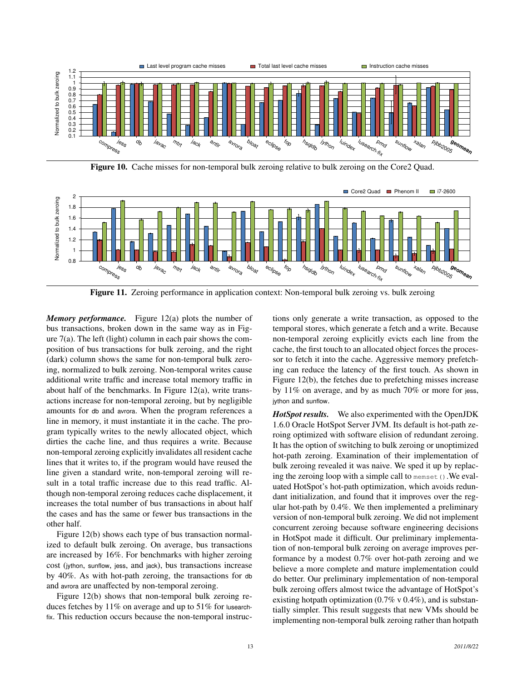

Figure 10. Cache misses for non-temporal bulk zeroing relative to bulk zeroing on the Core2 Quad.



Figure 11. Zeroing performance in application context: Non-temporal bulk zeroing vs. bulk zeroing

*Memory performance.* Figure 12(a) plots the number of bus transactions, broken down in the same way as in Figure  $7(a)$ . The left (light) column in each pair shows the composition of bus transactions for bulk zeroing, and the right (dark) column shows the same for non-temporal bulk zeroing, normalized to bulk zeroing. Non-temporal writes cause additional write traffic and increase total memory traffic in about half of the benchmarks. In Figure 12(a), write transactions increase for non-temporal zeroing, but by negligible amounts for db and avrora. When the program references a line in memory, it must instantiate it in the cache. The program typically writes to the newly allocated object, which dirties the cache line, and thus requires a write. Because non-temporal zeroing explicitly invalidates all resident cache lines that it writes to, if the program would have reused the line given a standard write, non-temporal zeroing will result in a total traffic increase due to this read traffic. Although non-temporal zeroing reduces cache displacement, it increases the total number of bus transactions in about half the cases and has the same or fewer bus transactions in the other half.

Figure 12(b) shows each type of bus transaction normalized to default bulk zeroing. On average, bus transactions are increased by 16%. For benchmarks with higher zeroing cost (jython, sunflow, jess, and jack), bus transactions increase by 40%. As with hot-path zeroing, the transactions for db and avrora are unaffected by non-temporal zeroing.

Figure 12(b) shows that non-temporal bulk zeroing reduces fetches by 11% on average and up to 51% for lusearchfix. This reduction occurs because the non-temporal instructions only generate a write transaction, as opposed to the temporal stores, which generate a fetch and a write. Because non-temporal zeroing explicitly evicts each line from the cache, the first touch to an allocated object forces the processor to fetch it into the cache. Aggressive memory prefetching can reduce the latency of the first touch. As shown in Figure 12(b), the fetches due to prefetching misses increase by 11% on average, and by as much 70% or more for jess, jython and sunflow.

*HotSpot results.* We also experimented with the OpenJDK 1.6.0 Oracle HotSpot Server JVM. Its default is hot-path zeroing optimized with software elision of redundant zeroing. It has the option of switching to bulk zeroing or unoptimized hot-path zeroing. Examination of their implementation of bulk zeroing revealed it was naive. We sped it up by replacing the zeroing loop with a simple call to memset (). We evaluated HotSpot's hot-path optimization, which avoids redundant initialization, and found that it improves over the regular hot-path by 0.4%. We then implemented a preliminary version of non-temporal bulk zeroing. We did not implement concurrent zeroing because software engineering decisions in HotSpot made it difficult. Our preliminary implementation of non-temporal bulk zeroing on average improves performance by a modest 0.7% over hot-path zeroing and we believe a more complete and mature implementation could do better. Our preliminary implementation of non-temporal bulk zeroing offers almost twice the advantage of HotSpot's existing hotpath optimization  $(0.7\% \text{ v } 0.4\%)$ , and is substantially simpler. This result suggests that new VMs should be implementing non-temporal bulk zeroing rather than hotpath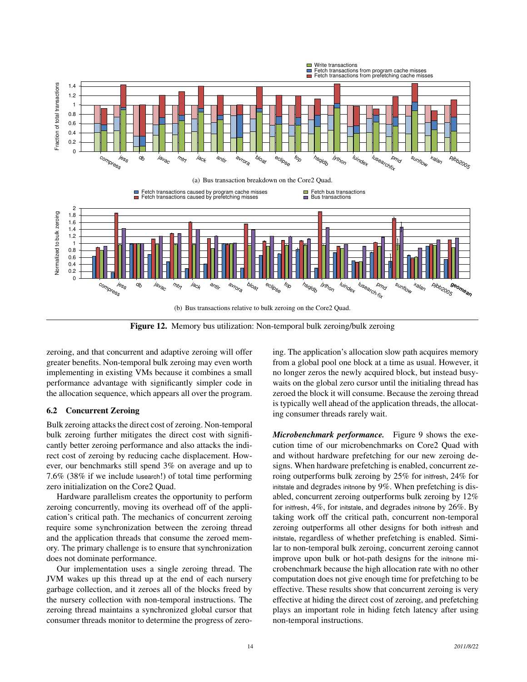

Figure 12. Memory bus utilization: Non-temporal bulk zeroing/bulk zeroing

zeroing, and that concurrent and adaptive zeroing will offer greater benefits. Non-temporal bulk zeroing may even worth implementing in existing VMs because it combines a small performance advantage with significantly simpler code in the allocation sequence, which appears all over the program.

#### 6.2 Concurrent Zeroing

Bulk zeroing attacks the direct cost of zeroing. Non-temporal bulk zeroing further mitigates the direct cost with significantly better zeroing performance and also attacks the indirect cost of zeroing by reducing cache displacement. However, our benchmarks still spend 3% on average and up to 7.6% (38% if we include lusearch!) of total time performing zero initialization on the Core2 Quad.

Hardware parallelism creates the opportunity to perform zeroing concurrently, moving its overhead off of the application's critical path. The mechanics of concurrent zeroing require some synchronization between the zeroing thread and the application threads that consume the zeroed memory. The primary challenge is to ensure that synchronization does not dominate performance.

Our implementation uses a single zeroing thread. The JVM wakes up this thread up at the end of each nursery garbage collection, and it zeroes all of the blocks freed by the nursery collection with non-temporal instructions. The zeroing thread maintains a synchronized global cursor that consumer threads monitor to determine the progress of zeroing. The application's allocation slow path acquires memory from a global pool one block at a time as usual. However, it no longer zeros the newly acquired block, but instead busywaits on the global zero cursor until the initialing thread has zeroed the block it will consume. Because the zeroing thread is typically well ahead of the application threads, the allocating consumer threads rarely wait.

*Microbenchmark performance.* Figure 9 shows the execution time of our microbenchmarks on Core2 Quad with and without hardware prefetching for our new zeroing designs. When hardware prefetching is enabled, concurrent zeroing outperforms bulk zeroing by 25% for initfresh, 24% for initstale and degrades initnone by 9%. When prefetching is disabled, concurrent zeroing outperforms bulk zeroing by 12% for initfresh, 4%, for initstale, and degrades initnone by 26%. By taking work off the critical path, concurrent non-temporal zeroing outperforms all other designs for both initfresh and initstale, regardless of whether prefetching is enabled. Similar to non-temporal bulk zeroing, concurrent zeroing cannot improve upon bulk or hot-path designs for the initnone microbenchmark because the high allocation rate with no other computation does not give enough time for prefetching to be effective. These results show that concurrent zeroing is very effective at hiding the direct cost of zeroing, and prefetching plays an important role in hiding fetch latency after using non-temporal instructions.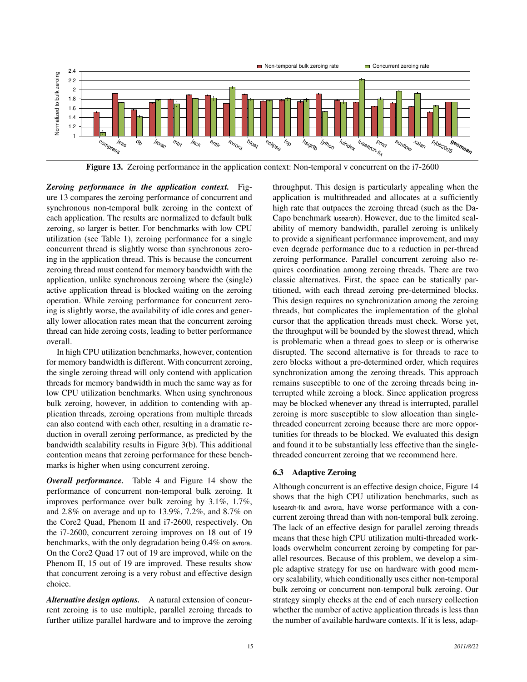

Figure 13. Zeroing performance in the application context: Non-temporal v concurrent on the i7-2600

*Zeroing performance in the application context.* Figure 13 compares the zeroing performance of concurrent and synchronous non-temporal bulk zeroing in the context of each application. The results are normalized to default bulk zeroing, so larger is better. For benchmarks with low CPU utilization (see Table 1), zeroing performance for a single concurrent thread is slightly worse than synchronous zeroing in the application thread. This is because the concurrent zeroing thread must contend for memory bandwidth with the application, unlike synchronous zeroing where the (single) active application thread is blocked waiting on the zeroing operation. While zeroing performance for concurrent zeroing is slightly worse, the availability of idle cores and generally lower allocation rates mean that the concurrent zeroing thread can hide zeroing costs, leading to better performance overall.

In high CPU utilization benchmarks, however, contention for memory bandwidth is different. With concurrent zeroing, the single zeroing thread will only contend with application threads for memory bandwidth in much the same way as for low CPU utilization benchmarks. When using synchronous bulk zeroing, however, in addition to contending with application threads, zeroing operations from multiple threads can also contend with each other, resulting in a dramatic reduction in overall zeroing performance, as predicted by the bandwidth scalability results in Figure 3(b). This additional contention means that zeroing performance for these benchmarks is higher when using concurrent zeroing.

*Overall performance.* Table 4 and Figure 14 show the performance of concurrent non-temporal bulk zeroing. It improves performance over bulk zeroing by 3.1%, 1.7%, and 2.8% on average and up to 13.9%, 7.2%, and 8.7% on the Core2 Quad, Phenom II and i7-2600, respectively. On the i7-2600, concurrent zeroing improves on 18 out of 19 benchmarks, with the only degradation being 0.4% on avrora. On the Core2 Quad 17 out of 19 are improved, while on the Phenom II, 15 out of 19 are improved. These results show that concurrent zeroing is a very robust and effective design choice.

*Alternative design options.* A natural extension of concurrent zeroing is to use multiple, parallel zeroing threads to further utilize parallel hardware and to improve the zeroing throughput. This design is particularly appealing when the application is multithreaded and allocates at a sufficiently high rate that outpaces the zeroing thread (such as the Da-Capo benchmark lusearch). However, due to the limited scalability of memory bandwidth, parallel zeroing is unlikely to provide a significant performance improvement, and may even degrade performance due to a reduction in per-thread zeroing performance. Parallel concurrent zeroing also requires coordination among zeroing threads. There are two classic alternatives. First, the space can be statically partitioned, with each thread zeroing pre-determined blocks. This design requires no synchronization among the zeroing threads, but complicates the implementation of the global cursor that the application threads must check. Worse yet, the throughput will be bounded by the slowest thread, which is problematic when a thread goes to sleep or is otherwise disrupted. The second alternative is for threads to race to zero blocks without a pre-determined order, which requires synchronization among the zeroing threads. This approach remains susceptible to one of the zeroing threads being interrupted while zeroing a block. Since application progress may be blocked whenever any thread is interrupted, parallel zeroing is more susceptible to slow allocation than singlethreaded concurrent zeroing because there are more opportunities for threads to be blocked. We evaluated this design and found it to be substantially less effective than the singlethreaded concurrent zeroing that we recommend here.

#### 6.3 Adaptive Zeroing

Although concurrent is an effective design choice, Figure 14 shows that the high CPU utilization benchmarks, such as lusearch-fix and avrora, have worse performance with a concurrent zeroing thread than with non-temporal bulk zeroing. The lack of an effective design for parallel zeroing threads means that these high CPU utilization multi-threaded workloads overwhelm concurrent zeroing by competing for parallel resources. Because of this problem, we develop a simple adaptive strategy for use on hardware with good memory scalability, which conditionally uses either non-temporal bulk zeroing or concurrent non-temporal bulk zeroing. Our strategy simply checks at the end of each nursery collection whether the number of active application threads is less than the number of available hardware contexts. If it is less, adap-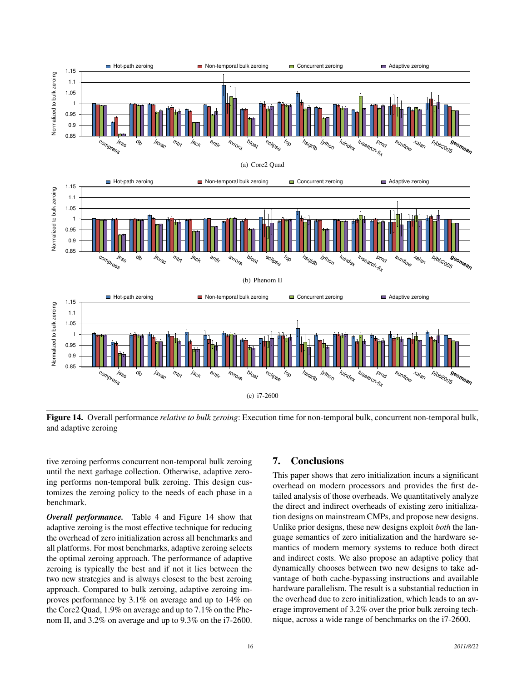

Figure 14. Overall performance *relative to bulk zeroing*: Execution time for non-temporal bulk, concurrent non-temporal bulk, and adaptive zeroing

tive zeroing performs concurrent non-temporal bulk zeroing until the next garbage collection. Otherwise, adaptive zeroing performs non-temporal bulk zeroing. This design customizes the zeroing policy to the needs of each phase in a benchmark.

*Overall performance.* Table 4 and Figure 14 show that adaptive zeroing is the most effective technique for reducing the overhead of zero initialization across all benchmarks and all platforms. For most benchmarks, adaptive zeroing selects the optimal zeroing approach. The performance of adaptive zeroing is typically the best and if not it lies between the two new strategies and is always closest to the best zeroing approach. Compared to bulk zeroing, adaptive zeroing improves performance by 3.1% on average and up to 14% on the Core2 Quad, 1.9% on average and up to 7.1% on the Phenom II, and 3.2% on average and up to 9.3% on the i7-2600.

# 7. Conclusions

This paper shows that zero initialization incurs a significant overhead on modern processors and provides the first detailed analysis of those overheads. We quantitatively analyze the direct and indirect overheads of existing zero initialization designs on mainstream CMPs, and propose new designs. Unlike prior designs, these new designs exploit *both* the language semantics of zero initialization and the hardware semantics of modern memory systems to reduce both direct and indirect costs. We also propose an adaptive policy that dynamically chooses between two new designs to take advantage of both cache-bypassing instructions and available hardware parallelism. The result is a substantial reduction in the overhead due to zero initialization, which leads to an average improvement of 3.2% over the prior bulk zeroing technique, across a wide range of benchmarks on the i7-2600.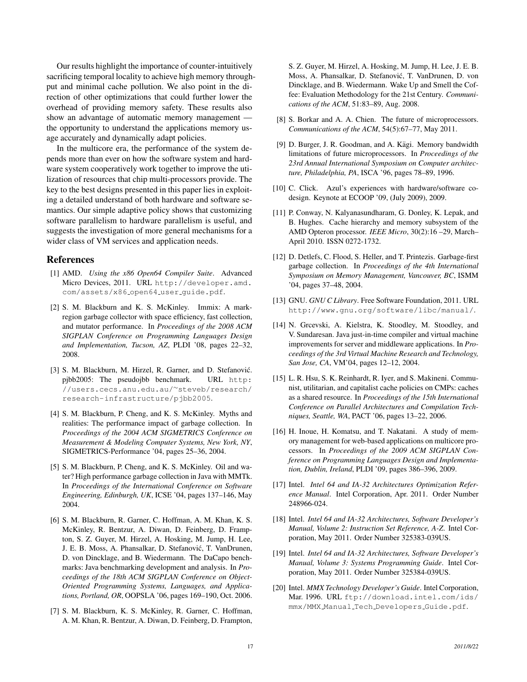Our results highlight the importance of counter-intuitively sacrificing temporal locality to achieve high memory throughput and minimal cache pollution. We also point in the direction of other optimizations that could further lower the overhead of providing memory safety. These results also show an advantage of automatic memory management the opportunity to understand the applications memory usage accurately and dynamically adapt policies.

In the multicore era, the performance of the system depends more than ever on how the software system and hardware system cooperatively work together to improve the utilization of resources that chip multi-processors provide. The key to the best designs presented in this paper lies in exploiting a detailed understand of both hardware and software semantics. Our simple adaptive policy shows that customizing software parallelism to hardware parallelism is useful, and suggests the investigation of more general mechanisms for a wider class of VM services and application needs.

## References

- [1] AMD. *Using the x86 Open64 Compiler Suite*. Advanced Micro Devices, 2011. URL http://developer.amd. com/assets/x86 open64 user guide.pdf.
- [2] S. M. Blackburn and K. S. McKinley. Immix: A markregion garbage collector with space efficiency, fast collection, and mutator performance. In *Proceedings of the 2008 ACM SIGPLAN Conference on Programming Languages Design and Implementation, Tucson, AZ*, PLDI '08, pages 22–32, 2008.
- [3] S. M. Blackburn, M. Hirzel, R. Garner, and D. Stefanović. pjbb2005: The pseudojbb benchmark. URL http: //users.cecs.anu.edu.au/∼steveb/research/ research-infrastructure/pjbb2005.
- [4] S. M. Blackburn, P. Cheng, and K. S. McKinley. Myths and realities: The performance impact of garbage collection. In *Proceedings of the 2004 ACM SIGMETRICS Conference on Measurement & Modeling Computer Systems, New York, NY*, SIGMETRICS-Performance '04, pages 25–36, 2004.
- [5] S. M. Blackburn, P. Cheng, and K. S. McKinley. Oil and water? High performance garbage collection in Java with MMTk. In *Proceedings of the International Conference on Software Engineering, Edinburgh, UK*, ICSE '04, pages 137–146, May 2004.
- [6] S. M. Blackburn, R. Garner, C. Hoffman, A. M. Khan, K. S. McKinley, R. Bentzur, A. Diwan, D. Feinberg, D. Frampton, S. Z. Guyer, M. Hirzel, A. Hosking, M. Jump, H. Lee, J. E. B. Moss, A. Phansalkar, D. Stefanovic, T. VanDrunen, ´ D. von Dincklage, and B. Wiedermann. The DaCapo benchmarks: Java benchmarking development and analysis. In *Proceedings of the 18th ACM SIGPLAN Conference on Object-Oriented Programming Systems, Languages, and Applications, Portland, OR*, OOPSLA '06, pages 169–190, Oct. 2006.
- [7] S. M. Blackburn, K. S. McKinley, R. Garner, C. Hoffman, A. M. Khan, R. Bentzur, A. Diwan, D. Feinberg, D. Frampton,

S. Z. Guyer, M. Hirzel, A. Hosking, M. Jump, H. Lee, J. E. B. Moss, A. Phansalkar, D. Stefanovic, T. VanDrunen, D. von ´ Dincklage, and B. Wiedermann. Wake Up and Smell the Coffee: Evaluation Methodology for the 21st Century. *Communications of the ACM*, 51:83–89, Aug. 2008.

- [8] S. Borkar and A. A. Chien. The future of microprocessors. *Communications of the ACM*, 54(5):67–77, May 2011.
- [9] D. Burger, J. R. Goodman, and A. Kägi. Memory bandwidth limitations of future microprocessors. In *Proceedings of the 23rd Annual International Symposium on Computer architecture, Philadelphia, PA*, ISCA '96, pages 78–89, 1996.
- [10] C. Click. Azul's experiences with hardware/software codesign. Keynote at ECOOP '09, (July 2009), 2009.
- [11] P. Conway, N. Kalyanasundharam, G. Donley, K. Lepak, and B. Hughes. Cache hierarchy and memory subsystem of the AMD Opteron processor. *IEEE Micro*, 30(2):16 –29, March– April 2010. ISSN 0272-1732.
- [12] D. Detlefs, C. Flood, S. Heller, and T. Printezis. Garbage-first garbage collection. In *Proceedings of the 4th International Symposium on Memory Management, Vancouver, BC*, ISMM '04, pages 37–48, 2004.
- [13] GNU. *GNU C Library*. Free Software Foundation, 2011. URL http://www.gnu.org/software/libc/manual/.
- [14] N. Grcevski, A. Kielstra, K. Stoodley, M. Stoodley, and V. Sundaresan. Java just-in-time compiler and virtual machine improvements for server and middleware applications. In *Proceedings of the 3rd Virtual Machine Research and Technology, San Jose, CA*, VM'04, pages 12–12, 2004.
- [15] L. R. Hsu, S. K. Reinhardt, R. Iyer, and S. Makineni. Communist, utilitarian, and capitalist cache policies on CMPs: caches as a shared resource. In *Proceedings of the 15th International Conference on Parallel Architectures and Compilation Techniques, Seattle, WA*, PACT '06, pages 13–22, 2006.
- [16] H. Inoue, H. Komatsu, and T. Nakatani. A study of memory management for web-based applications on multicore processors. In *Proceedings of the 2009 ACM SIGPLAN Conference on Programming Languages Design and Implementation, Dublin, Ireland*, PLDI '09, pages 386–396, 2009.
- [17] Intel. *Intel 64 and IA-32 Architectures Optimization Reference Manual*. Intel Corporation, Apr. 2011. Order Number 248966-024.
- [18] Intel. *Intel 64 and IA-32 Architectures, Software Developer's Manual, Volume 2: Instruction Set Reference, A-Z*. Intel Corporation, May 2011. Order Number 325383-039US.
- [19] Intel. *Intel 64 and IA-32 Architectures, Software Developer's Manual, Volume 3: Systems Programming Guide*. Intel Corporation, May 2011. Order Number 325384-039US.
- [20] Intel. *MMX Technology Developer's Guide*. Intel Corporation, Mar. 1996. URL ftp://download.intel.com/ids/ mmx/MMX Manual Tech Developers Guide.pdf.